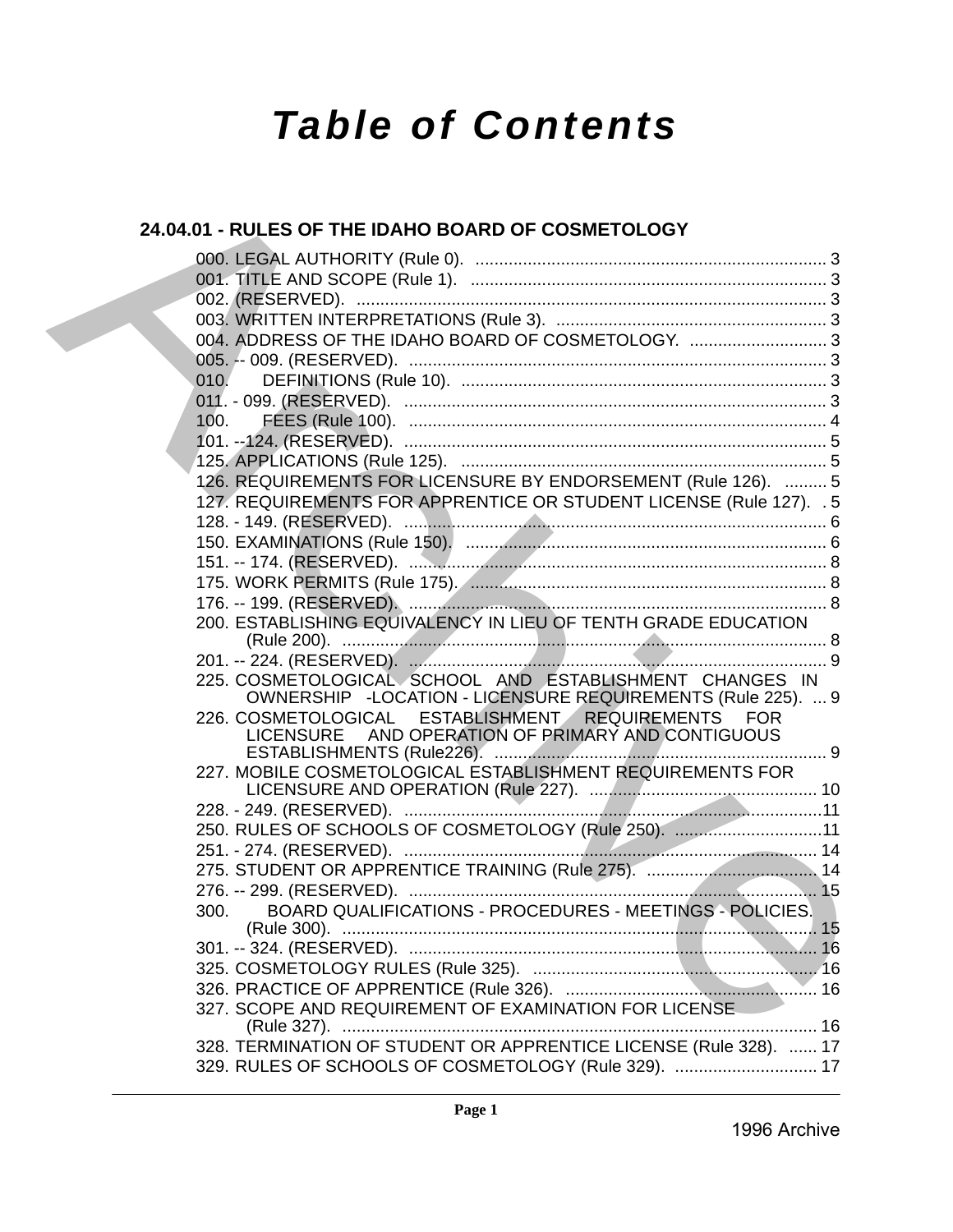# *Table of Contents*

# **24.04.01 - RULES OF THE IDAHO BOARD OF COSMETOLOGY**

| 24.04.01 - RULES OF THE IDAHO BOARD OF COSMETOLOGY                                                                     |  |
|------------------------------------------------------------------------------------------------------------------------|--|
|                                                                                                                        |  |
|                                                                                                                        |  |
|                                                                                                                        |  |
|                                                                                                                        |  |
| 004. ADDRESS OF THE IDAHO BOARD OF COSMETOLOGY. 3                                                                      |  |
|                                                                                                                        |  |
| 010.                                                                                                                   |  |
|                                                                                                                        |  |
| 100.                                                                                                                   |  |
|                                                                                                                        |  |
|                                                                                                                        |  |
| 126. REQUIREMENTS FOR LICENSURE BY ENDORSEMENT (Rule 126).  5                                                          |  |
| 127. REQUIREMENTS FOR APPRENTICE OR STUDENT LICENSE (Rule 127). . 5                                                    |  |
|                                                                                                                        |  |
|                                                                                                                        |  |
|                                                                                                                        |  |
|                                                                                                                        |  |
|                                                                                                                        |  |
| 200. ESTABLISHING EQUIVALENCY IN LIEU OF TENTH GRADE EDUCATION                                                         |  |
|                                                                                                                        |  |
| 225. COSMETOLOGICAL SCHOOL AND ESTABLISHMENT CHANGES IN<br>OWNERSHIP -LOCATION - LICENSURE REQUIREMENTS (Rule 225).  9 |  |
| 226. COSMETOLOGICAL ESTABLISHMENT REQUIREMENTS FOR<br>LICENSURE AND OPERATION OF PRIMARY AND CONTIGUOUS                |  |
| 227. MOBILE COSMETOLOGICAL ESTABLISHMENT REQUIREMENTS FOR                                                              |  |
|                                                                                                                        |  |
| 250. RULES OF SCHOOLS OF COSMETOLOGY (Rule 250). 11                                                                    |  |
|                                                                                                                        |  |
|                                                                                                                        |  |
|                                                                                                                        |  |
| BOARD QUALIFICATIONS - PROCEDURES - MEETINGS - POLICIES.<br>300.                                                       |  |
|                                                                                                                        |  |
|                                                                                                                        |  |
|                                                                                                                        |  |
| 327. SCOPE AND REQUIREMENT OF EXAMINATION FOR LICENSE                                                                  |  |
| 328. TERMINATION OF STUDENT OR APPRENTICE LICENSE (Rule 328).  17                                                      |  |
| 329. RULES OF SCHOOLS OF COSMETOLOGY (Rule 329).  17                                                                   |  |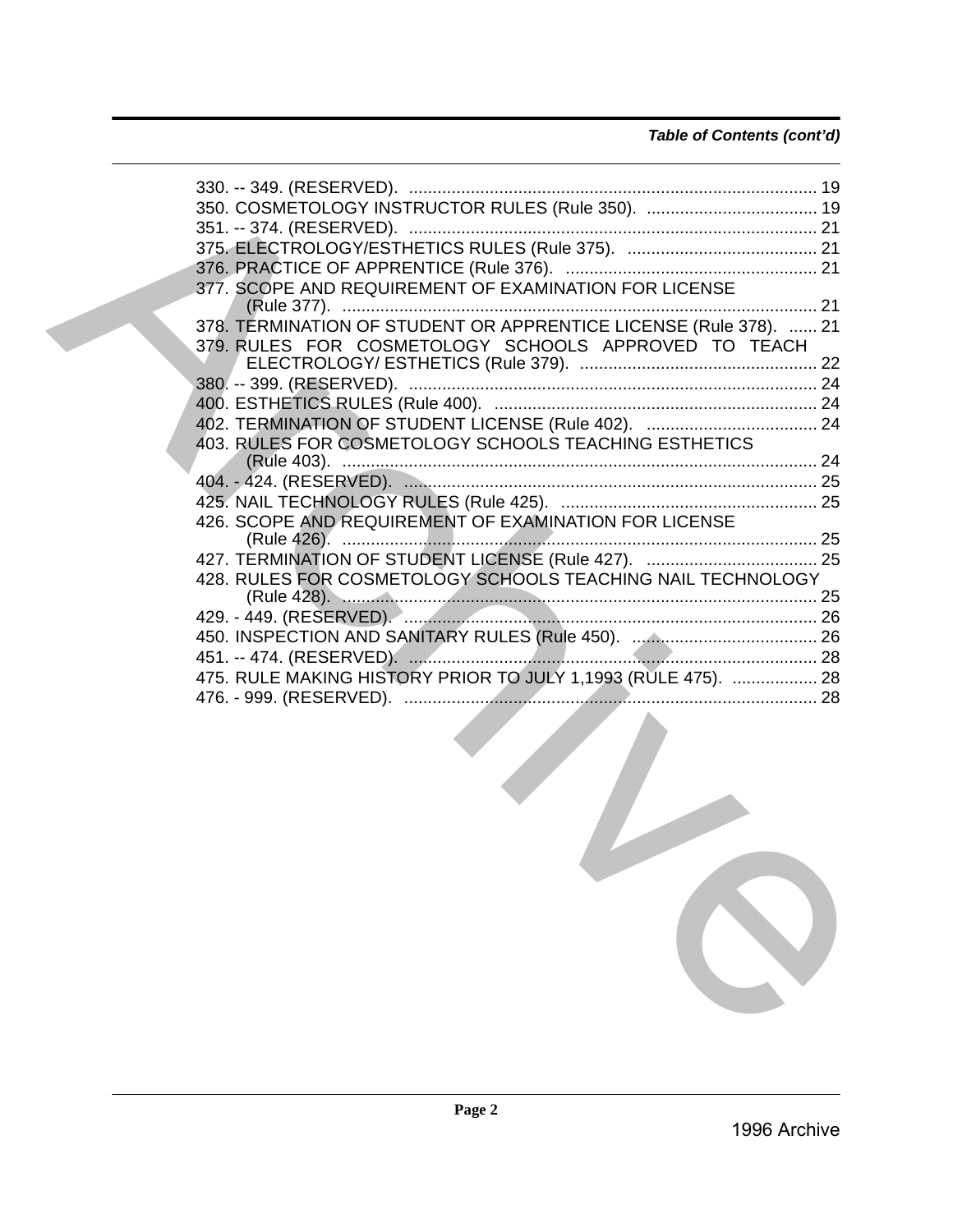| 350. COSMETOLOGY INSTRUCTOR RULES (Rule 350).  19                 |
|-------------------------------------------------------------------|
|                                                                   |
|                                                                   |
|                                                                   |
| 377. SCOPE AND REQUIREMENT OF EXAMINATION FOR LICENSE             |
| 378. TERMINATION OF STUDENT OR APPRENTICE LICENSE (Rule 378).  21 |
| 379. RULES FOR COSMETOLOGY SCHOOLS APPROVED TO TEACH              |
|                                                                   |
|                                                                   |
|                                                                   |
| 403. RULES FOR COSMETOLOGY SCHOOLS TEACHING ESTHETICS             |
|                                                                   |
|                                                                   |
|                                                                   |
| 426. SCOPE AND REQUIREMENT OF EXAMINATION FOR LICENSE             |
| 427. TERMINATION OF STUDENT LICENSE (Rule 427).  25               |
| 428. RULES FOR COSMETOLOGY SCHOOLS TEACHING NAIL TECHNOLOGY       |
|                                                                   |
|                                                                   |
|                                                                   |
| 475. RULE MAKING HISTORY PRIOR TO JULY 1,1993 (RULE 475).  28     |
|                                                                   |
|                                                                   |

7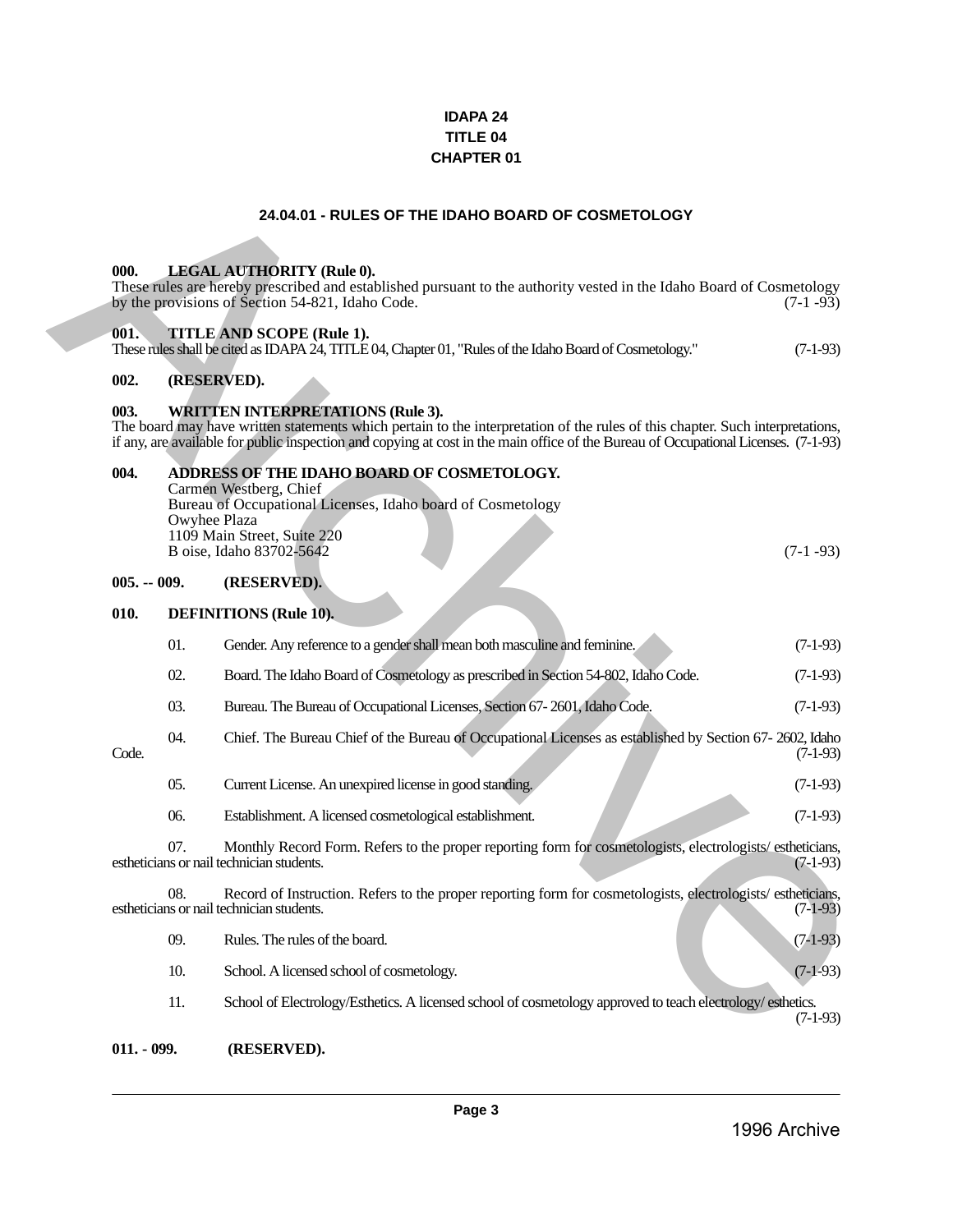### **IDAPA 24 TITLE 04 CHAPTER 01**

### **24.04.01 - RULES OF THE IDAHO BOARD OF COSMETOLOGY**

#### <span id="page-2-1"></span><span id="page-2-0"></span>**000. LEGAL AUTHORITY (Rule 0).**

#### <span id="page-2-2"></span>**001. TITLE AND SCOPE (Rule 1).**

| These rules shall be cited as IDAPA 24, TITLE 04, Chapter 01, "Rules of the Idaho Board of Cosmetology." | $(7-1-93)$ |  |
|----------------------------------------------------------------------------------------------------------|------------|--|
|----------------------------------------------------------------------------------------------------------|------------|--|

### <span id="page-2-3"></span>**002. (RESERVED).**

### <span id="page-2-4"></span>**003. WRITTEN INTERPRETATIONS (Rule 3).**

#### <span id="page-2-5"></span>**004. ADDRESS OF THE IDAHO BOARD OF COSMETOLOGY.**

| Carmen Westberg, Chief                                      |            |
|-------------------------------------------------------------|------------|
| Bureau of Occupational Licenses, Idaho board of Cosmetology |            |
| Owyhee Plaza                                                |            |
| 1109 Main Street, Suite 220                                 |            |
| B oise, Idaho 83702-5642                                    | $(7-1-93)$ |
|                                                             |            |

#### <span id="page-2-6"></span>**005. -- 009. (RESERVED).**

#### <span id="page-2-8"></span><span id="page-2-7"></span>**010. DEFINITIONS (Rule 10).**

|               |              | 24.04.01 - RULES OF THE IDAHO BOARD OF COSMETOLOGY                                                                                                                                                                                                                                                               |            |
|---------------|--------------|------------------------------------------------------------------------------------------------------------------------------------------------------------------------------------------------------------------------------------------------------------------------------------------------------------------|------------|
| 000.          |              | <b>LEGAL AUTHORITY (Rule 0).</b><br>These rules are hereby prescribed and established pursuant to the authority vested in the Idaho Board of Cosmetology<br>by the provisions of Section 54-821, Idaho Code.                                                                                                     | $(7-1-93)$ |
| 001.          |              | TITLE AND SCOPE (Rule 1).<br>These rules shall be cited as IDAPA 24, TITLE 04, Chapter 01, "Rules of the Idaho Board of Cosmetology."                                                                                                                                                                            | $(7-1-93)$ |
| 002.          |              | (RESERVED).                                                                                                                                                                                                                                                                                                      |            |
| 003.          |              | <b>WRITTEN INTERPRETATIONS (Rule 3).</b><br>The board may have written statements which pertain to the interpretation of the rules of this chapter. Such interpretations,<br>if any, are available for public inspection and copying at cost in the main office of the Bureau of Occupational Licenses. (7-1-93) |            |
| 004.          | Owyhee Plaza | ADDRESS OF THE IDAHO BOARD OF COSMETOLOGY.<br>Carmen Westberg, Chief<br>Bureau of Occupational Licenses, Idaho board of Cosmetology<br>1109 Main Street, Suite 220<br>B oise, Idaho 83702-5642                                                                                                                   | $(7-1-93)$ |
| $005. - 009.$ |              | (RESERVED).                                                                                                                                                                                                                                                                                                      |            |
| 010.          |              | <b>DEFINITIONS</b> (Rule 10).                                                                                                                                                                                                                                                                                    |            |
|               | 01.          | Gender. Any reference to a gender shall mean both masculine and feminine.                                                                                                                                                                                                                                        | $(7-1-93)$ |
|               | 02.          | Board. The Idaho Board of Cosmetology as prescribed in Section 54-802, Idaho Code.                                                                                                                                                                                                                               | $(7-1-93)$ |
|               | 03.          | Bureau. The Bureau of Occupational Licenses, Section 67-2601, Idaho Code.                                                                                                                                                                                                                                        | $(7-1-93)$ |
| Code.         | 04.          | Chief. The Bureau Chief of the Bureau of Occupational Licenses as established by Section 67-2602, Idaho                                                                                                                                                                                                          | $(7-1-93)$ |
|               | 05.          | Current License. An unexpired license in good standing.                                                                                                                                                                                                                                                          | $(7-1-93)$ |
|               | 06.          | Establishment. A licensed cosmetological establishment.                                                                                                                                                                                                                                                          | $(7-1-93)$ |
|               | 07.          | Monthly Record Form. Refers to the proper reporting form for cosmetologists, electrologists/estheticians,<br>estheticians or nail technician students.                                                                                                                                                           | $(7-1-93)$ |
|               | 08.          | Record of Instruction. Refers to the proper reporting form for cosmetologists, electrologists/estheticians,<br>estheticians or nail technician students.                                                                                                                                                         | $(7-1-93)$ |
|               | 09.          | Rules. The rules of the board.                                                                                                                                                                                                                                                                                   | $(7-1-93)$ |
|               | 10.          | School. A licensed school of cosmetology.                                                                                                                                                                                                                                                                        | $(7-1-93)$ |
|               | 11.          | School of Electrology/Esthetics. A licensed school of cosmetology approved to teach electrology/esthetics.                                                                                                                                                                                                       | $(7-1-93)$ |
| $011. - 099.$ |              | (RESERVED).                                                                                                                                                                                                                                                                                                      |            |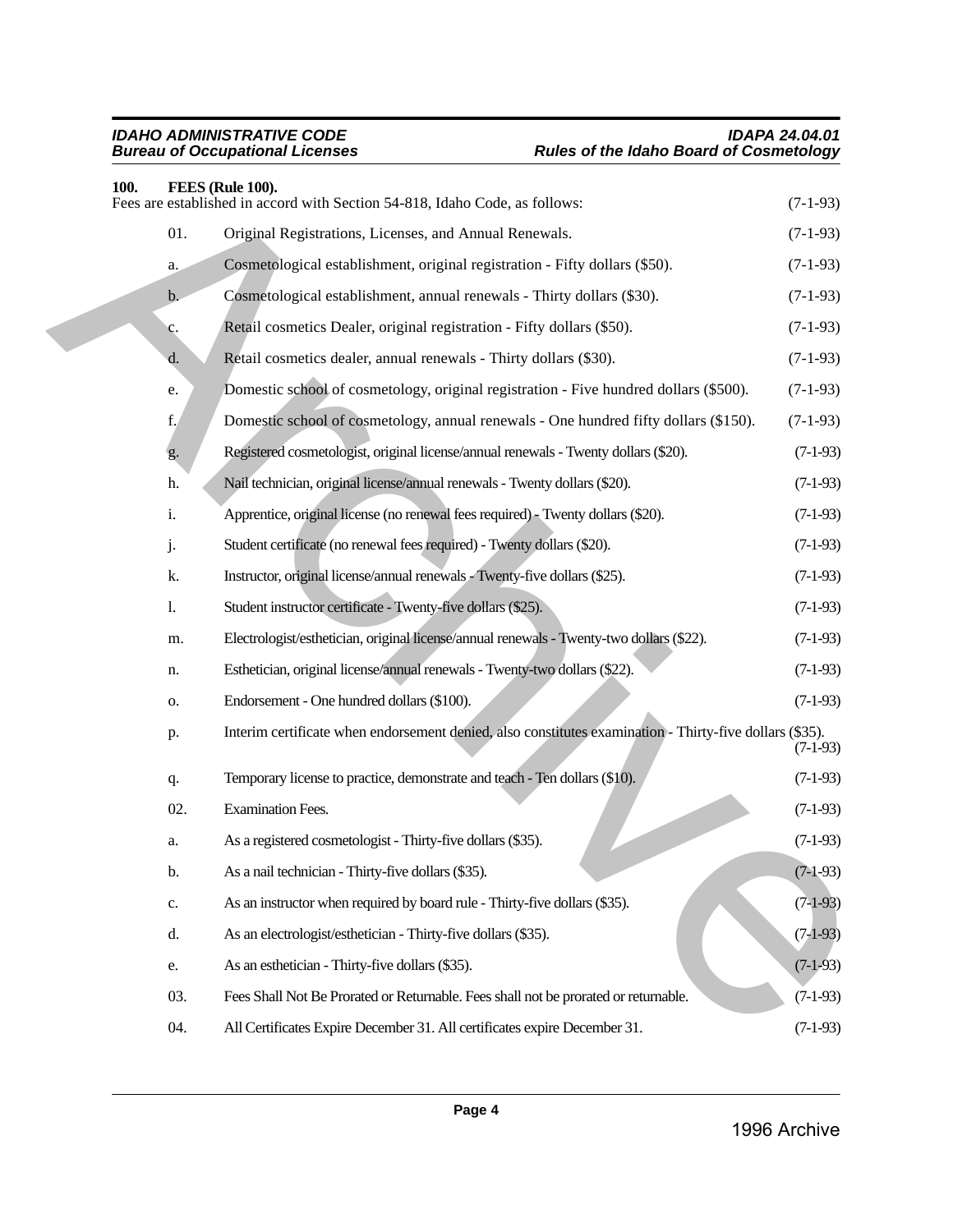<span id="page-3-0"></span>

| 100.        | FEES (Rule 100).                                                                                        |            |
|-------------|---------------------------------------------------------------------------------------------------------|------------|
|             | Fees are established in accord with Section 54-818, Idaho Code, as follows:                             | $(7-1-93)$ |
| 01.         | Original Registrations, Licenses, and Annual Renewals.                                                  | $(7-1-93)$ |
| a.          | Cosmetological establishment, original registration - Fifty dollars (\$50).                             | $(7-1-93)$ |
| b.          | Cosmetological establishment, annual renewals - Thirty dollars (\$30).                                  | $(7-1-93)$ |
| c.          | Retail cosmetics Dealer, original registration - Fifty dollars (\$50).                                  | $(7-1-93)$ |
| d.          | Retail cosmetics dealer, annual renewals - Thirty dollars (\$30).                                       | $(7-1-93)$ |
| e.          | Domestic school of cosmetology, original registration - Five hundred dollars (\$500).                   | $(7-1-93)$ |
| $f_{\star}$ | Domestic school of cosmetology, annual renewals - One hundred fifty dollars (\$150).                    | $(7-1-93)$ |
| g.          | Registered cosmetologist, original license/annual renewals - Twenty dollars (\$20).                     | $(7-1-93)$ |
| h.          | Nail technician, original license/annual renewals - Twenty dollars (\$20).                              | $(7-1-93)$ |
| i.          | Apprentice, original license (no renewal fees required) - Twenty dollars (\$20).                        | $(7-1-93)$ |
| j.          | Student certificate (no renewal fees required) - Twenty dollars (\$20).                                 | $(7-1-93)$ |
| k.          | Instructor, original license/annual renewals - Twenty-five dollars (\$25).                              | $(7-1-93)$ |
| 1.          | Student instructor certificate - Twenty-five dollars (\$25).                                            | $(7-1-93)$ |
| m.          | Electrologist/esthetician, original license/annual renewals - Twenty-two dollars (\$22).                | $(7-1-93)$ |
| n.          | Esthetician, original license/annual renewals - Twenty-two dollars (\$22).                              | $(7-1-93)$ |
| 0.          | Endorsement - One hundred dollars (\$100).                                                              | $(7-1-93)$ |
| p.          | Interim certificate when endorsement denied, also constitutes examination - Thirty-five dollars (\$35). | $(7-1-93)$ |
| q.          | Temporary license to practice, demonstrate and teach - Ten dollars (\$10).                              | $(7-1-93)$ |
| 02.         | <b>Examination Fees.</b>                                                                                | $(7-1-93)$ |
| a.          | As a registered cosmetologist - Thirty-five dollars (\$35).                                             | $(7-1-93)$ |
| b.          | As a nail technician - Thirty-five dollars (\$35).                                                      | $(7-1-93)$ |
| c.          | As an instructor when required by board rule - Thirty-five dollars (\$35).                              | $(7-1-93)$ |
| d.          | As an electrologist/esthetician - Thirty-five dollars (\$35).                                           | $(7-1-93)$ |
| e.          | As an esthetician - Thirty-five dollars (\$35).                                                         | $(7-1-93)$ |
| 03.         | Fees Shall Not Be Prorated or Returnable. Fees shall not be prorated or returnable.                     | $(7-1-93)$ |
| 04.         | All Certificates Expire December 31. All certificates expire December 31.                               | $(7-1-93)$ |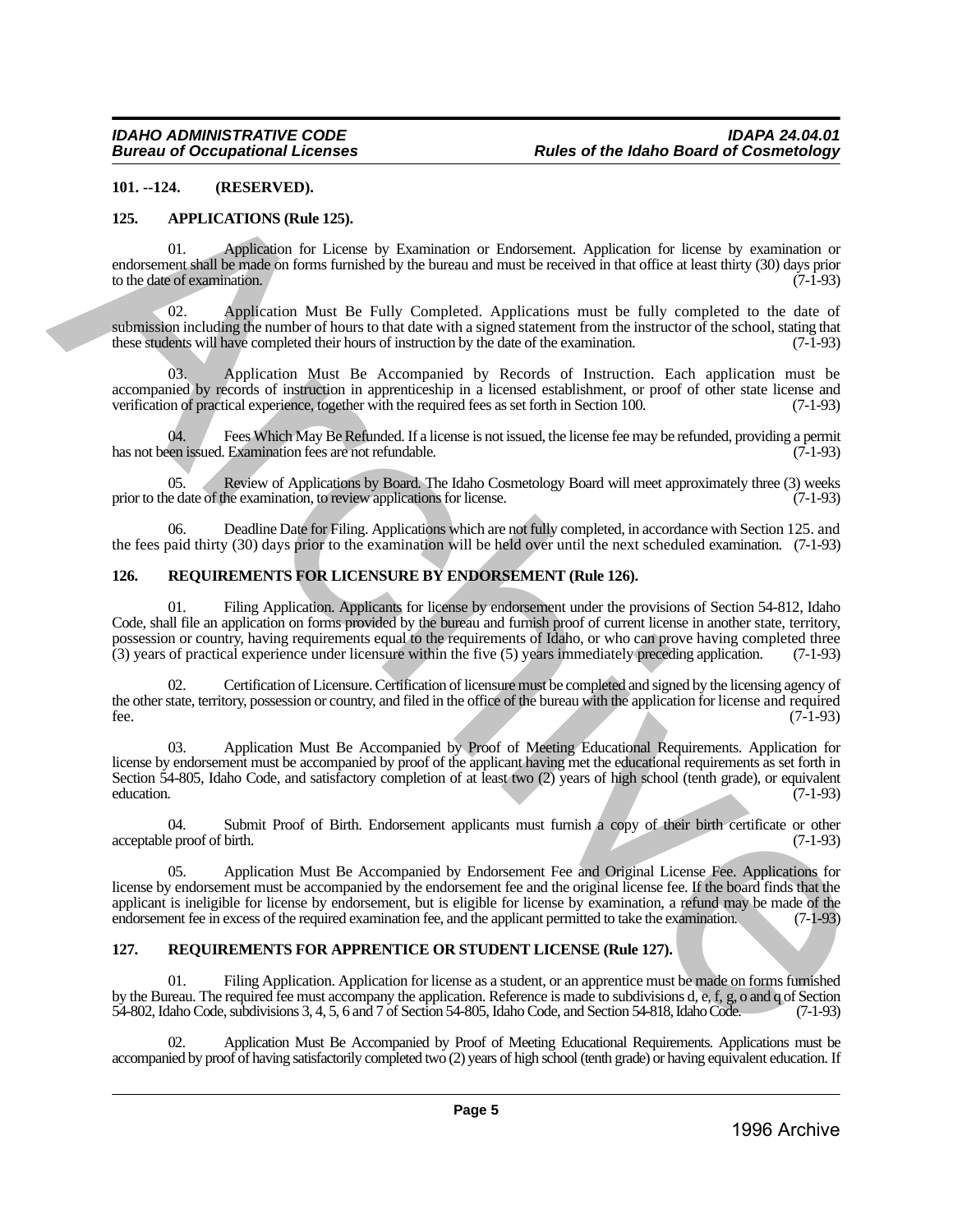### <span id="page-4-0"></span>**101. --124. (RESERVED).**

#### <span id="page-4-1"></span>**125. APPLICATIONS (Rule 125).**

01. Application for License by Examination or Endorsement. Application for license by examination or endorsement shall be made on forms furnished by the bureau and must be received in that office at least thirty (30) days prior to the date of examination.

02. Application Must Be Fully Completed. Applications must be fully completed to the date of submission including the number of hours to that date with a signed statement from the instructor of the school, stating that these students will have completed their hours of instruction by the date of the examination. (7-1-93)

03. Application Must Be Accompanied by Records of Instruction. Each application must be accompanied by records of instruction in apprenticeship in a licensed establishment, or proof of other state license and verification of practical experience, together with the required fees as set forth in Section 100. (7-1-93)

04. Fees Which May Be Refunded. If a license is not issued, the license fee may be refunded, providing a permit ven issued. Examination fees are not refundable. has not been issued. Examination fees are not refundable.

05. Review of Applications by Board. The Idaho Cosmetology Board will meet approximately three (3) weeks prior to the date of the examination, to review applications for license. (7-1-93)

06. Deadline Date for Filing. Applications which are not fully completed, in accordance with Section 125. and the fees paid thirty (30) days prior to the examination will be held over until the next scheduled examination. (7-1-93)

#### <span id="page-4-2"></span>**126. REQUIREMENTS FOR LICENSURE BY ENDORSEMENT (Rule 126).**

01. Filing Application. Applicants for license by endorsement under the provisions of Section 54-812, Idaho Code, shall file an application on forms provided by the bureau and furnish proof of current license in another state, territory, possession or country, having requirements equal to the requirements of Idaho, or who can prove having completed three (3) vears of practical experience under licensure within the five (5) years immediately preceding appli  $(3)$  years of practical experience under licensure within the five  $(5)$  years immediately preceding application.

02. Certification of Licensure. Certification of licensure must be completed and signed by the licensing agency of the other state, territory, possession or country, and filed in the office of the bureau with the application for license and required fee. (7-1-93) fee.  $(7-1-93)$ 

03. Application Must Be Accompanied by Proof of Meeting Educational Requirements. Application for license by endorsement must be accompanied by proof of the applicant having met the educational requirements as set forth in Section 54-805, Idaho Code, and satisfactory completion of at least two (2) years of high school (tenth grade), or equivalent education. (7-1-93) education. (7-1-93) 10... 132. (1878-1876) and 1881. (1878-1885) and Euler Bandwin and Euler Bandwin and Euler Bandwin and Euler Bandwin and Euler Bandwin and the state of the state of the state of the state of the state of the state of the

04. Submit Proof of Birth. Endorsement applicants must furnish a copy of their birth certificate or other acceptable proof of birth. (7-1-93)

05. Application Must Be Accompanied by Endorsement Fee and Original License Fee. Applications for license by endorsement must be accompanied by the endorsement fee and the original license fee. If the board finds that the applicant is ineligible for license by endorsement, but is eligible for license by examination, a refund may be made of the endorsement fee in excess of the required examination fee, and the applicant permitted to take the examination. (7-1-93)

### <span id="page-4-3"></span>**127. REQUIREMENTS FOR APPRENTICE OR STUDENT LICENSE (Rule 127).**

Filing Application. Application for license as a student, or an apprentice must be made on forms furnished by the Bureau. The required fee must accompany the application. Reference is made to subdivisions d, e, f, g, o and q of Section 54-802, Idaho Code, subdivisions 3, 4, 5, 6 and 7 of Section 54-805, Idaho Code, and Section 54-818, Idaho Code. (7-1-93)

02. Application Must Be Accompanied by Proof of Meeting Educational Requirements. Applications must be accompanied by proof of having satisfactorily completed two (2) years of high school (tenth grade) or having equivalent education. If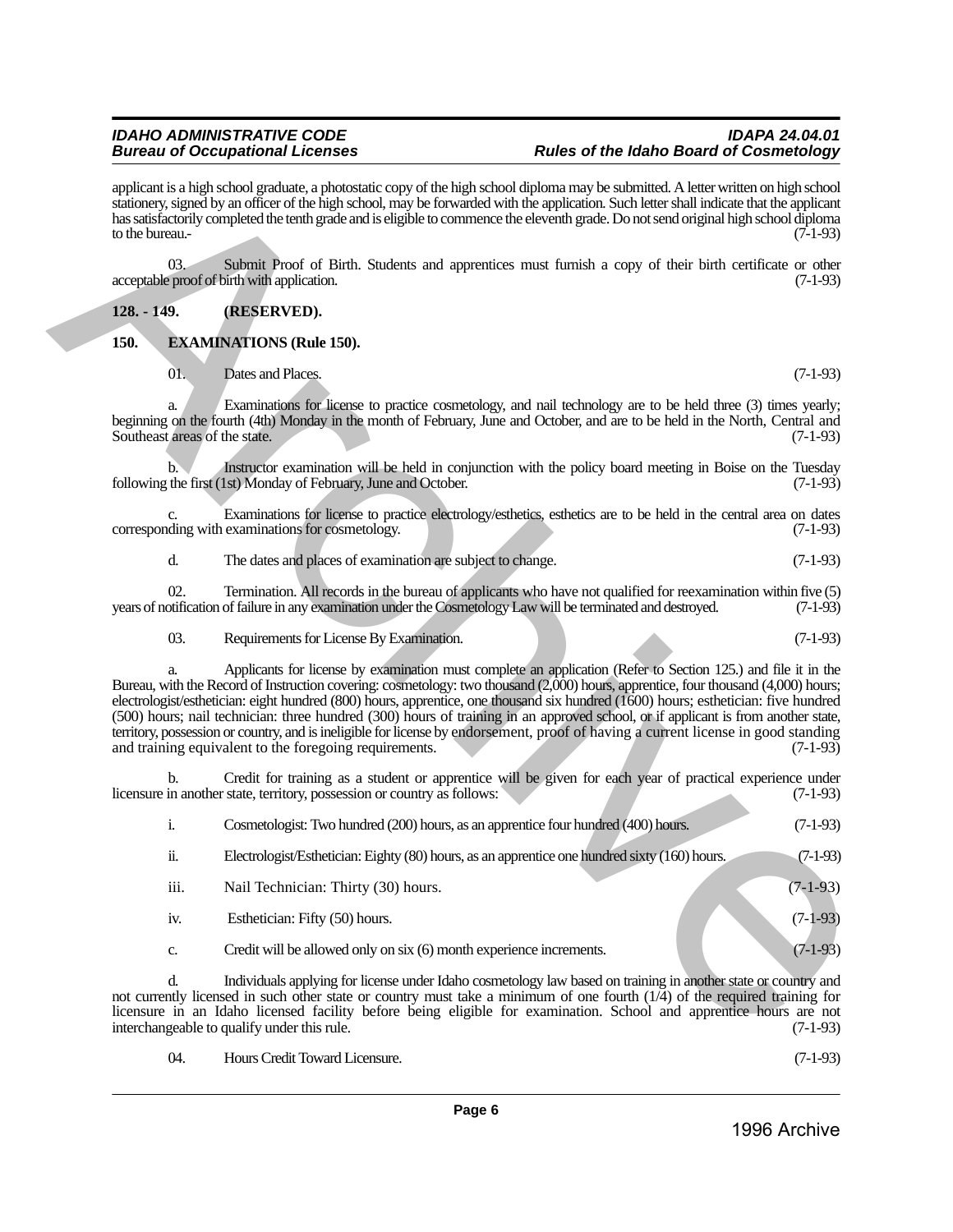<span id="page-5-1"></span><span id="page-5-0"></span>

| to the bureau.                      | applicant is a high school graduate, a photostatic copy of the high school diploma may be submitted. A letter written on high school<br>stationery, signed by an officer of the high school, may be forwarded with the application. Such letter shall indicate that the applicant<br>has satisfactorily completed the tenth grade and is eligible to commence the eleventh grade. Do not send original high school diploma                                                                                                                                                                                                                                                                                                     | $(7-1-93)$ |
|-------------------------------------|--------------------------------------------------------------------------------------------------------------------------------------------------------------------------------------------------------------------------------------------------------------------------------------------------------------------------------------------------------------------------------------------------------------------------------------------------------------------------------------------------------------------------------------------------------------------------------------------------------------------------------------------------------------------------------------------------------------------------------|------------|
| 03.                                 | Submit Proof of Birth. Students and apprentices must furnish a copy of their birth certificate or other<br>acceptable proof of birth with application.                                                                                                                                                                                                                                                                                                                                                                                                                                                                                                                                                                         | $(7-1-93)$ |
| $128. - 149.$                       | (RESERVED).                                                                                                                                                                                                                                                                                                                                                                                                                                                                                                                                                                                                                                                                                                                    |            |
| 150.                                | <b>EXAMINATIONS (Rule 150).</b>                                                                                                                                                                                                                                                                                                                                                                                                                                                                                                                                                                                                                                                                                                |            |
| 01.                                 | Dates and Places.                                                                                                                                                                                                                                                                                                                                                                                                                                                                                                                                                                                                                                                                                                              | $(7-1-93)$ |
| a.<br>Southeast areas of the state. | Examinations for license to practice cosmetology, and nail technology are to be held three (3) times yearly;<br>beginning on the fourth (4th) Monday in the month of February, June and October, and are to be held in the North, Central and                                                                                                                                                                                                                                                                                                                                                                                                                                                                                  | $(7-1-93)$ |
| b.                                  | Instructor examination will be held in conjunction with the policy board meeting in Boise on the Tuesday<br>following the first (1st) Monday of February, June and October.                                                                                                                                                                                                                                                                                                                                                                                                                                                                                                                                                    | $(7-1-93)$ |
| c.                                  | Examinations for license to practice electrology/esthetics, esthetics are to be held in the central area on dates<br>corresponding with examinations for cosmetology.                                                                                                                                                                                                                                                                                                                                                                                                                                                                                                                                                          | $(7-1-93)$ |
| d.                                  | The dates and places of examination are subject to change.                                                                                                                                                                                                                                                                                                                                                                                                                                                                                                                                                                                                                                                                     | $(7-1-93)$ |
| 02.                                 | Termination. All records in the bureau of applicants who have not qualified for reexamination within five (5)<br>years of notification of failure in any examination under the Cosmetology Law will be terminated and destroyed.                                                                                                                                                                                                                                                                                                                                                                                                                                                                                               | $(7-1-93)$ |
| 03.                                 | Requirements for License By Examination.                                                                                                                                                                                                                                                                                                                                                                                                                                                                                                                                                                                                                                                                                       | $(7-1-93)$ |
| a.                                  | Applicants for license by examination must complete an application (Refer to Section 125.) and file it in the<br>Bureau, with the Record of Instruction covering: cosmetology: two thousand (2,000) hours, apprentice, four thousand (4,000) hours;<br>electrologist/esthetician: eight hundred (800) hours, apprentice, one thousand six hundred (1600) hours; esthetician: five hundred<br>(500) hours; nail technician: three hundred (300) hours of training in an approved school, or if applicant is from another state,<br>territory, possession or country, and is ineligible for license by endorsement, proof of having a current license in good standing<br>and training equivalent to the foregoing requirements. | $(7-1-93)$ |
| b.                                  | Credit for training as a student or apprentice will be given for each year of practical experience under<br>licensure in another state, territory, possession or country as follows:                                                                                                                                                                                                                                                                                                                                                                                                                                                                                                                                           | $(7-1-93)$ |
| i.                                  | Cosmetologist: Two hundred (200) hours, as an apprentice four hundred (400) hours.                                                                                                                                                                                                                                                                                                                                                                                                                                                                                                                                                                                                                                             | $(7-1-93)$ |
| ii.                                 | Electrologist/Esthetician: Eighty (80) hours, as an apprentice one hundred sixty (160) hours.                                                                                                                                                                                                                                                                                                                                                                                                                                                                                                                                                                                                                                  | $(7-1-93)$ |
| iii.                                | Nail Technician: Thirty (30) hours.                                                                                                                                                                                                                                                                                                                                                                                                                                                                                                                                                                                                                                                                                            | $(7-1-93)$ |
| iv.                                 | Esthetician: Fifty (50) hours.                                                                                                                                                                                                                                                                                                                                                                                                                                                                                                                                                                                                                                                                                                 | $(7-1-93)$ |
| c.                                  | Credit will be allowed only on six (6) month experience increments.                                                                                                                                                                                                                                                                                                                                                                                                                                                                                                                                                                                                                                                            | $(7-1-93)$ |
| d.                                  | Individuals applying for license under Idaho cosmetology law based on training in another state or country and<br>not currently licensed in such other state or country must take a minimum of one fourth $(1/4)$ of the required training for<br>licensure in an Idaho licensed facility before being eligible for examination. School and apprentice hours are not<br>interchangeable to qualify under this rule.                                                                                                                                                                                                                                                                                                            | $(7-1-93)$ |

04. Hours Credit Toward Licensure. (7-1-93)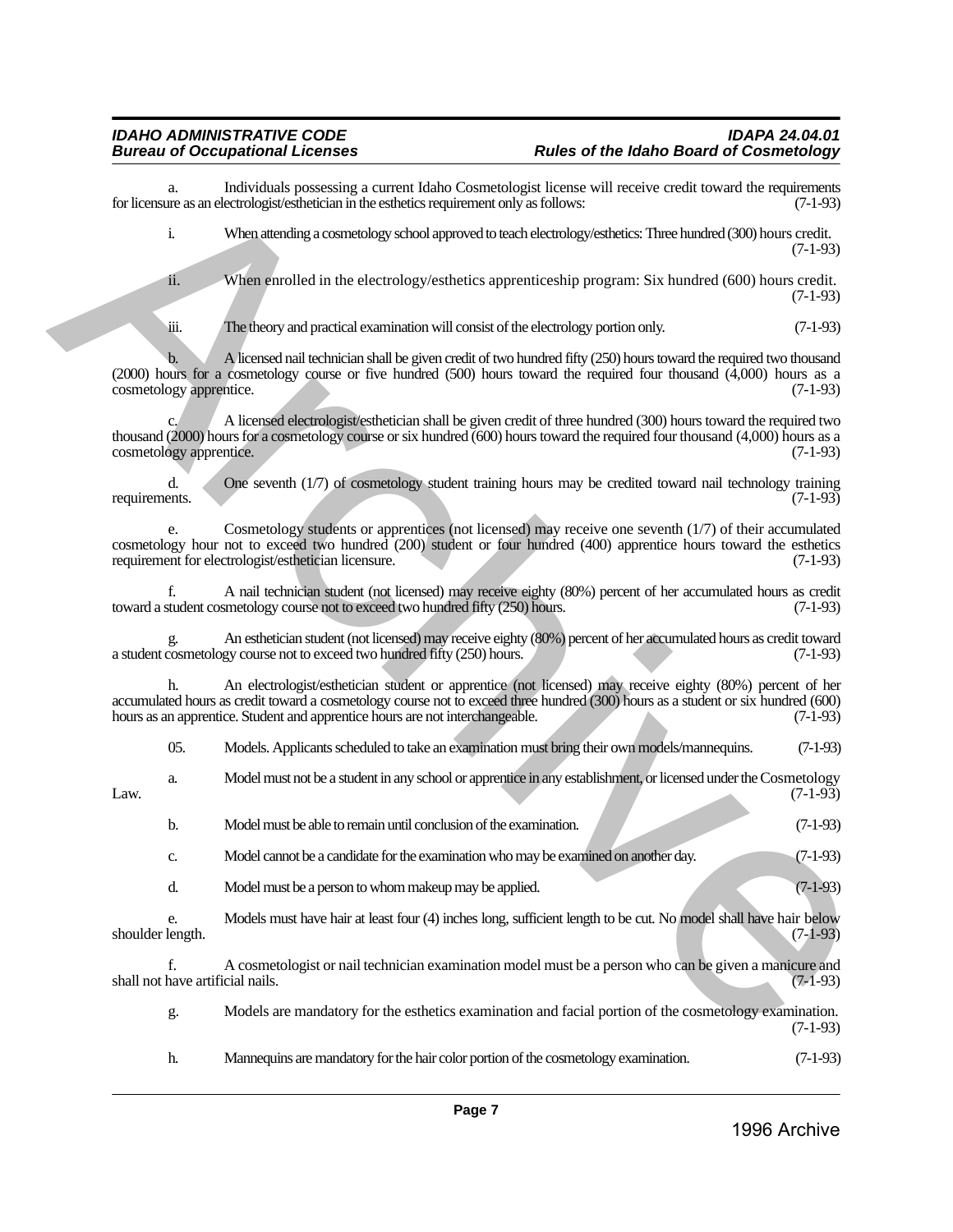| a.                                     | Individuals possessing a current Idaho Cosmetologist license will receive credit toward the requirements<br>for licensure as an electrologist/esthetician in the esthetics requirement only as follows:                                                                                                                         | $(7-1-93)$ |
|----------------------------------------|---------------------------------------------------------------------------------------------------------------------------------------------------------------------------------------------------------------------------------------------------------------------------------------------------------------------------------|------------|
| i.                                     | When attending a cosmetology school approved to teach electrology/esthetics: Three hundred (300) hours credit.                                                                                                                                                                                                                  | $(7-1-93)$ |
| ii.                                    | When enrolled in the electrology/esthetics apprenticeship program: Six hundred (600) hours credit.                                                                                                                                                                                                                              | $(7-1-93)$ |
| üi.                                    | The theory and practical examination will consist of the electrology portion only.                                                                                                                                                                                                                                              | $(7-1-93)$ |
| b.<br>cosmetology apprentice.          | A licensed nail technician shall be given credit of two hundred fifty (250) hours toward the required two thousand<br>$(2000)$ hours for a cosmetology course or five hundred (500) hours toward the required four thousand $(4,000)$ hours as a                                                                                | $(7-1-93)$ |
| cosmetology apprentice.                | A licensed electrologist/esthetician shall be given credit of three hundred (300) hours toward the required two<br>thousand (2000) hours for a cosmetology course or six hundred (600) hours toward the required four thousand (4,000) hours as a                                                                               | $(7-1-93)$ |
| d.<br>requirements.                    | One seventh (1/7) of cosmetology student training hours may be credited toward nail technology training                                                                                                                                                                                                                         | $(7-1-93)$ |
|                                        | Cosmetology students or apprentices (not licensed) may receive one seventh (1/7) of their accumulated<br>cosmetology hour not to exceed two hundred (200) student or four hundred (400) apprentice hours toward the esthetics<br>requirement for electrologist/esthetician licensure.                                           | $(7-1-93)$ |
| f.                                     | A nail technician student (not licensed) may receive eighty (80%) percent of her accumulated hours as credit<br>toward a student cosmetology course not to exceed two hundred fifty (250) hours.                                                                                                                                | $(7-1-93)$ |
|                                        | An esthetician student (not licensed) may receive eighty (80%) percent of her accumulated hours as credit toward<br>a student cosmetology course not to exceed two hundred fifty (250) hours.                                                                                                                                   | $(7-1-93)$ |
| h.                                     | An electrologist/esthetician student or apprentice (not licensed) may receive eighty (80%) percent of her<br>accumulated hours as credit toward a cosmetology course not to exceed three hundred (300) hours as a student or six hundred (600)<br>hours as an apprentice. Student and apprentice hours are not interchangeable. | $(7-1-93)$ |
| 05.                                    | Models. Applicants scheduled to take an examination must bring their own models/mannequins.                                                                                                                                                                                                                                     | $(7-1-93)$ |
| a.<br>Law.                             | Model must not be a student in any school or apprentice in any establishment, or licensed under the Cosmetology                                                                                                                                                                                                                 | $(7-1-93)$ |
| b.                                     | Model must be able to remain until conclusion of the examination.                                                                                                                                                                                                                                                               | $(7-1-93)$ |
| c.                                     | Model cannot be a candidate for the examination who may be examined on another day.                                                                                                                                                                                                                                             | $(7-1-93)$ |
| d.                                     | Model must be a person to whom makeup may be applied.                                                                                                                                                                                                                                                                           | $(7-1-93)$ |
| e.<br>shoulder length.                 | Models must have hair at least four (4) inches long, sufficient length to be cut. No model shall have hair below                                                                                                                                                                                                                | $(7-1-93)$ |
| f.<br>shall not have artificial nails. | A cosmetologist or nail technician examination model must be a person who can be given a manicure and                                                                                                                                                                                                                           | $(7-1-93)$ |
| g.                                     | Models are mandatory for the esthetics examination and facial portion of the cosmetology examination.                                                                                                                                                                                                                           | $(7-1-93)$ |

h. Mannequins are mandatory for the hair color portion of the cosmetology examination. (7-1-93)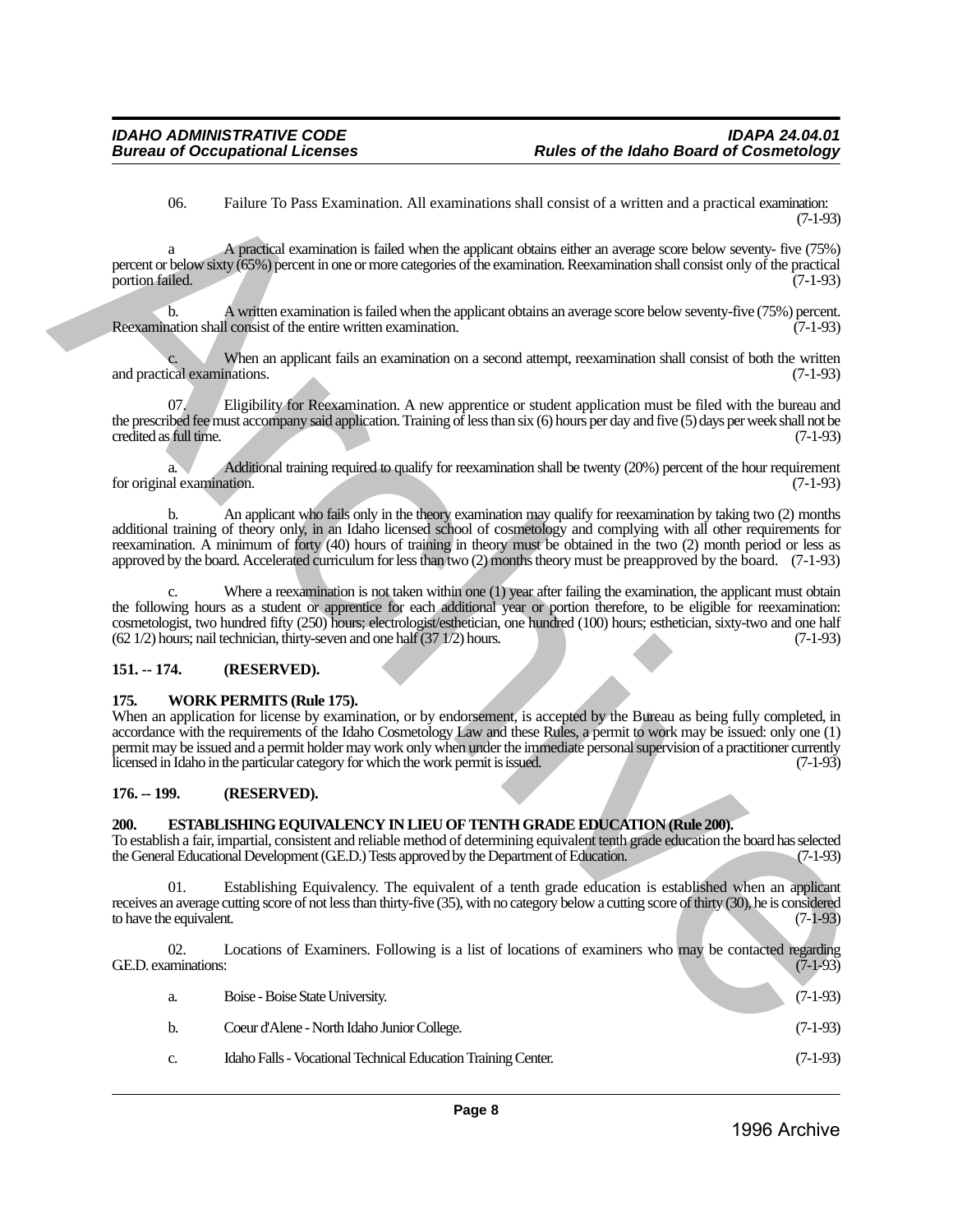06. Failure To Pass Examination. All examinations shall consist of a written and a practical examination: (7-1-93)

a A practical examination is failed when the applicant obtains either an average score below seventy- five (75%) percent or below sixty (65%) percent in one or more categories of the examination. Reexamination shall consist only of the practical portion failed.

b. A written examination is failed when the applicant obtains an average score below seventy-five (75%) percent. Reexamination shall consist of the entire written examination. (7-1-93)

When an applicant fails an examination on a second attempt, reexamination shall consist of both the written nations. (7-1-93) and practical examinations.

07. Eligibility for Reexamination. A new apprentice or student application must be filed with the bureau and the prescribed fee must accompany said application. Training  $\hat{of}$  less than six (6) hours per day and five (5) days per week shall not be credited as full time. (7-1-93) credited as full time.

a. Additional training required to qualify for reexamination shall be twenty (20%) percent of the hour requirement for original examination.

b. An applicant who fails only in the theory examination may qualify for reexamination by taking two (2) months additional training of theory only, in an Idaho licensed school of cosmetology and complying with all other requirements for reexamination. A minimum of forty (40) hours of training in theory must be obtained in the two (2) month period or less as approved by the board. Accelerated curriculum for less than two (2) months theory must be preapproved by the board. (7-1-93)

c. Where a reexamination is not taken within one (1) year after failing the examination, the applicant must obtain the following hours as a student or apprentice for each additional year or portion therefore, to be eligible for reexamination: cosmetologist, two hundred fifty (250) hours; electrologist/esthetician, one hundred (100) hours; esthetician, sixty-two and one half (62 1/2) hours; nail technician, thirty-seven and one half (37 1/2) hours. (7-1-93)  $(62 1/2)$  hours; nail technician, thirty-seven and one half  $(37 1/2)$  hours.

#### <span id="page-7-0"></span>**151. -- 174. (RESERVED).**

#### <span id="page-7-1"></span>**175. WORK PERMITS (Rule 175).**

When an application for license by examination, or by endorsement, is accepted by the Bureau as being fully completed, in accordance with the requirements of the Idaho Cosmetology Law and these Rules, a permit to work may be issued: only one (1) permit may be issued and a permit holder may work only when under the immediate personal supervision of a practitioner currently licensed in Idaho in the particular category for which the work permit is issued. (7-1-93) 66. Failure To Pas Exumination, All commissions shall consist of a written and a pactical consistent of a<br>present or wideo-size of a system commission is failed what the applicant orisinal collar an except show security

#### <span id="page-7-2"></span>**176. -- 199. (RESERVED).**

#### <span id="page-7-3"></span>**200. ESTABLISHING EQUIVALENCY IN LIEU OF TENTH GRADE EDUCATION (Rule 200).**

To establish a fair, impartial, consistent and reliable method of determining equivalent tenth grade education the board has selected the General Educational Development (GE.D.) Tests approved by the Department of Education.

01. Establishing Equivalency. The equivalent of a tenth grade education is established when an applicant receives an average cutting score of not less than thirty-five (35), with no category below a cutting score of thirty (30), he is considered to have the equivalent. (7-1-93)

02. Locations of Examiners. Following is a list of locations of examiners who may be contacted regarding aminations: (7-1-93) G.E.D. examinations:

| а.             | Boise - Boise State University.                               | $(7-1-93)$ |
|----------------|---------------------------------------------------------------|------------|
| b.             | Coeur d'Alene - North Idaho Junior College.                   | $(7-1-93)$ |
| $\mathbf{C}$ . | Idaho Falls - Vocational Technical Education Training Center. | $(7-1-93)$ |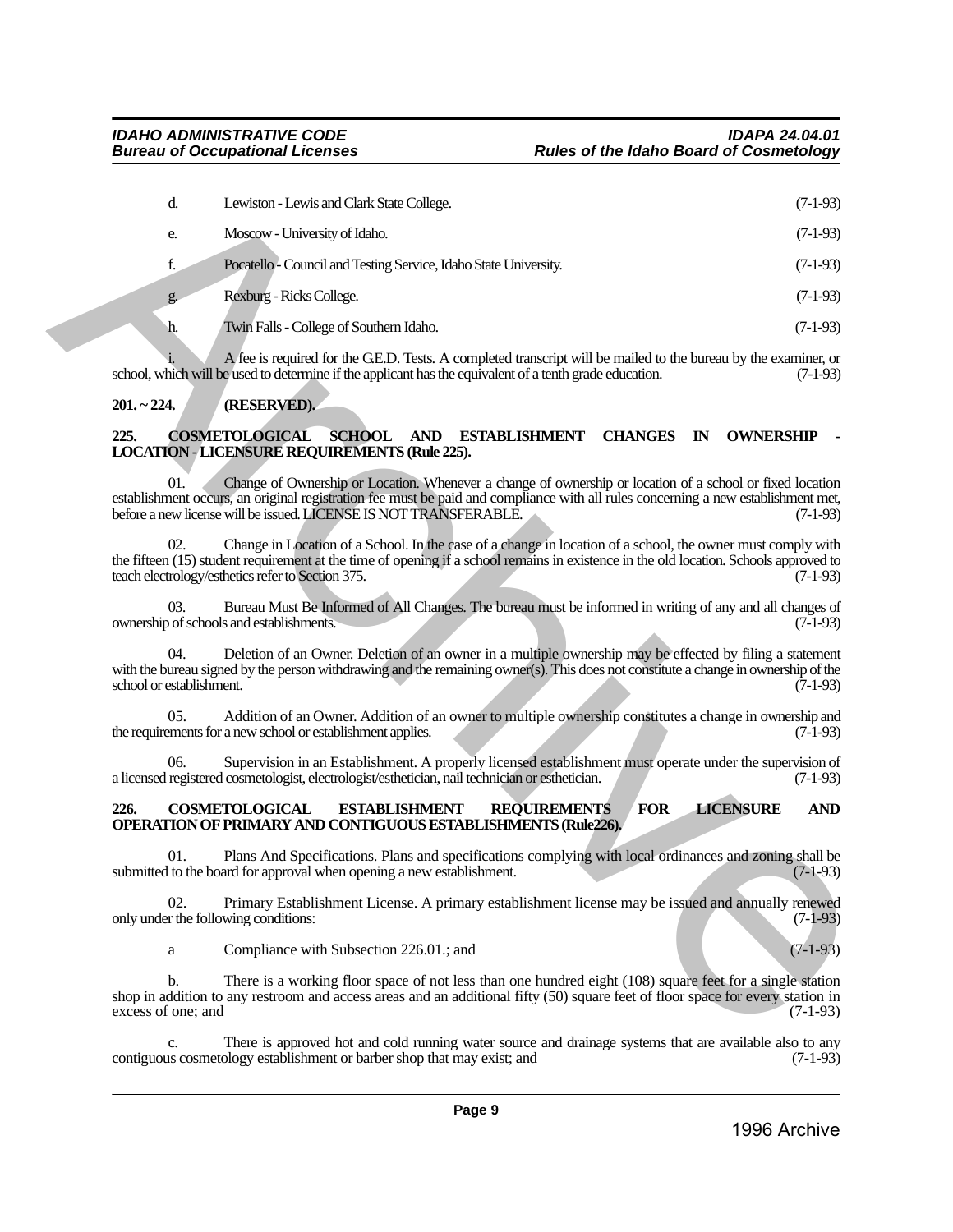| d.                                          | Lewiston - Lewis and Clark State College.                                                                                                                                                                                                                                                                           | $(7-1-93)$ |
|---------------------------------------------|---------------------------------------------------------------------------------------------------------------------------------------------------------------------------------------------------------------------------------------------------------------------------------------------------------------------|------------|
| e.                                          | Moscow - University of Idaho.                                                                                                                                                                                                                                                                                       | $(7-1-93)$ |
| $\mathbf f$                                 | Pocatello - Council and Testing Service, Idaho State University.                                                                                                                                                                                                                                                    | $(7-1-93)$ |
| g.                                          | Rexburg - Ricks College.                                                                                                                                                                                                                                                                                            | $(7-1-93)$ |
| h.                                          | Twin Falls - College of Southern Idaho.                                                                                                                                                                                                                                                                             | $(7-1-93)$ |
|                                             | A fee is required for the GE.D. Tests. A completed transcript will be mailed to the bureau by the examiner, or<br>school, which will be used to determine if the applicant has the equivalent of a tenth grade education.                                                                                           | $(7-1-93)$ |
| $201 - 224$ .                               | (RESERVED).                                                                                                                                                                                                                                                                                                         |            |
| 225.                                        | <b>COSMETOLOGICAL</b><br>SCHOOL AND ESTABLISHMENT<br><b>CHANGES</b><br><b>OWNERSHIP</b><br>$\mathbb{N}$<br><b>LOCATION - LICENSURE REQUIREMENTS (Rule 225).</b>                                                                                                                                                     |            |
| 01.                                         | Change of Ownership or Location. Whenever a change of ownership or location of a school or fixed location<br>establishment occurs, an original registration fee must be paid and compliance with all rules concerning a new establishment met,<br>before a new license will be issued. LICENSE IS NOT TRANSFERABLE. | $(7-1-93)$ |
| 02.                                         | Change in Location of a School. In the case of a change in location of a school, the owner must comply with<br>the fifteen (15) student requirement at the time of opening if a school remains in existence in the old location. Schools approved to<br>teach electrology/esthetics refer to Section 375.           | $(7-1-93)$ |
| 03.                                         | Bureau Must Be Informed of All Changes. The bureau must be informed in writing of any and all changes of<br>ownership of schools and establishments.                                                                                                                                                                | $(7-1-93)$ |
| 04.<br>school or establishment.             | Deletion of an Owner. Deletion of an owner in a multiple ownership may be effected by filing a statement<br>with the bureau signed by the person withdrawing and the remaining owner(s). This does not constitute a change in ownership of the                                                                      | $(7-1-93)$ |
| 05.                                         | Addition of an Owner. Addition of an owner to multiple ownership constitutes a change in ownership and<br>the requirements for a new school or establishment applies.                                                                                                                                               | $(7-1-93)$ |
| 06.                                         | Supervision in an Establishment. A properly licensed establishment must operate under the supervision of<br>a licensed registered cosmetologist, electrologist/esthetician, nail technician or esthetician.                                                                                                         | $(7-1-93)$ |
| 226.                                        | <b>LICENSURE</b><br><b>FOR</b><br><b>COSMETOLOGICAL</b><br><b>ESTABLISHMENT</b><br><b>REQUIREMENTS</b><br><b>OPERATION OF PRIMARY AND CONTIGUOUS ESTABLISHMENTS (Rule226).</b>                                                                                                                                      | <b>AND</b> |
| 01.                                         | Plans And Specifications. Plans and specifications complying with local ordinances and zoning shall be<br>submitted to the board for approval when opening a new establishment.                                                                                                                                     | $(7-1-93)$ |
| 02.<br>only under the following conditions: | Primary Establishment License. A primary establishment license may be issued and annually renewed                                                                                                                                                                                                                   | $(7-1-93)$ |
| a                                           | Compliance with Subsection 226.01.; and                                                                                                                                                                                                                                                                             | $(7-1-93)$ |
| b.<br>excess of one; and                    | There is a working floor space of not less than one hundred eight (108) square feet for a single station<br>shop in addition to any restroom and access areas and an additional fifty (50) square feet of floor space for every station in                                                                          | $(7-1-93)$ |
|                                             |                                                                                                                                                                                                                                                                                                                     |            |

### <span id="page-8-0"></span>**201. ~ 224. (RESERVED).**

#### <span id="page-8-1"></span>225. COSMETOLOGICAL SCHOOL AND ESTABLISHMENT CHANGES IN OWNERSHIP **LOCATION - LICENSURE REQUIREMENTS (Rule 225).**

#### <span id="page-8-2"></span>**226. COSMETOLOGICAL ESTABLISHMENT REQUIREMENTS FOR LICENSURE AND OPERATION OF PRIMARY AND CONTIGUOUS ESTABLISHMENTS (Rule226).**

There is approved hot and cold running water source and drainage systems that are available also to any ology establishment or barber shop that may exist; and  $(7-1-93)$ contiguous cosmetology establishment or barber shop that may exist; and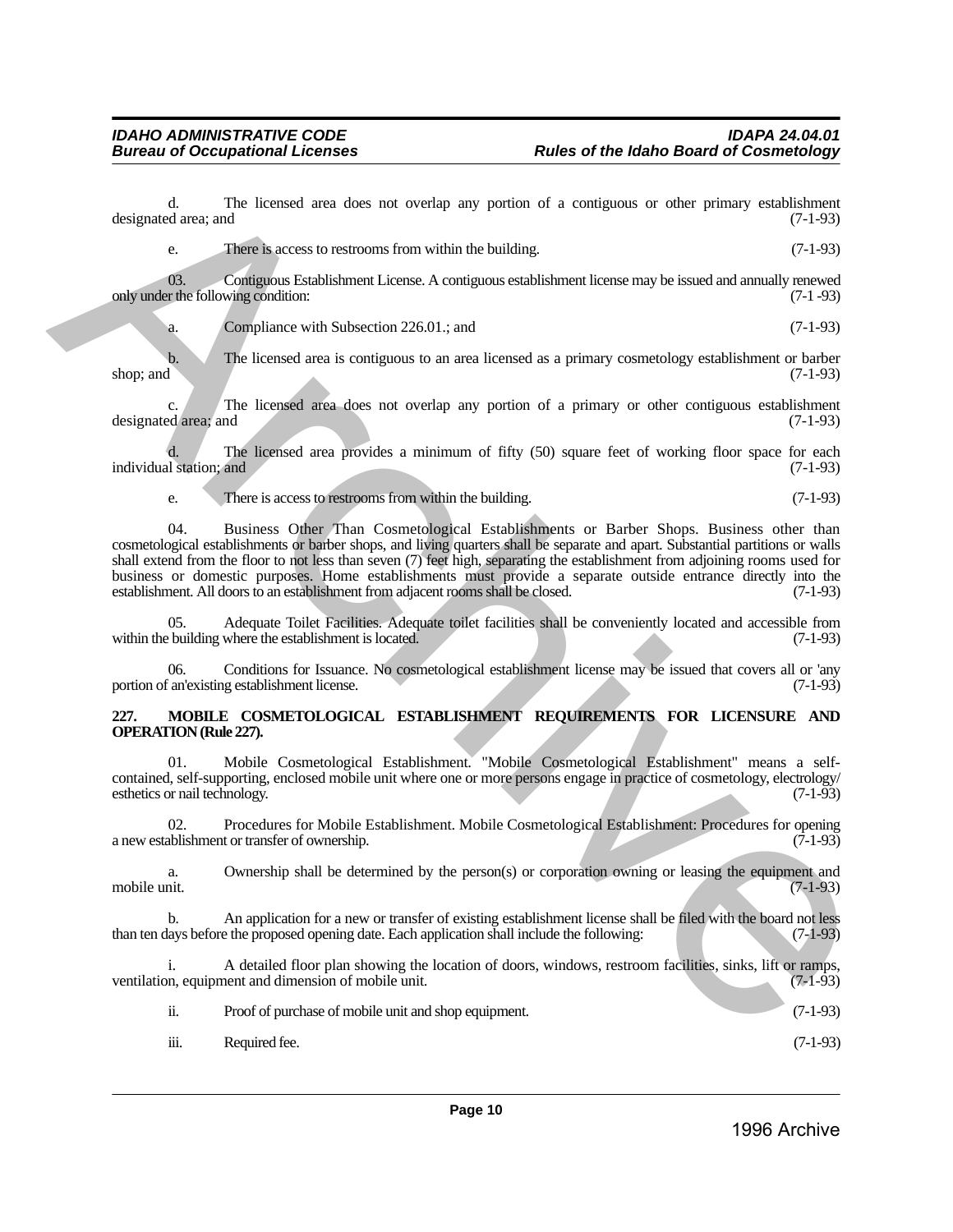designated area; and

e. There is access to restrooms from within the building. (7-1-93) 03. Contiguous Establishment License. A contiguous establishment license may be issued and annually renewed or the following condition: (7-1-93) only under the following condition: a. Compliance with Subsection 226.01.; and (7-1-93) b. The licensed area is contiguous to an area licensed as a primary cosmetology establishment or barber shop; and (7-1-93) shop; and  $(7-1-93)$ c. The licensed area does not overlap any portion of a primary or other contiguous establishment ed area; and (7-1-93) designated area; and d. The licensed area provides a minimum of fifty (50) square feet of working floor space for each individual station; and (7-1-93) e. There is access to restrooms from within the building. (7-1-93) 04. Business Other Than Cosmetological Establishments or Barber Shops. Business other than cosmetological establishments or barber shops, and living quarters shall be separate and apart. Substantial partitions or walls shall extend from the floor to not less than seven (7) feet high, separating the establishment from adjoining rooms used for business or domestic purposes. Home establishments must provide a separate outside entrance directly into the establishment. All doors to an establishment from adjacent rooms shall be closed. (7-1-93) establishment. All doors to an establishment from adjacent rooms shall be closed. 05. Adequate Toilet Facilities. Adequate toilet facilities shall be conveniently located and accessible from within the building where the establishment is located. (7-1-93) 06. Conditions for Issuance. No cosmetological establishment license may be issued that covers all or 'any portion of an'existing establishment license. (7-1-93) **227. MOBILE COSMETOLOGICAL ESTABLISHMENT REQUIREMENTS FOR LICENSURE AND OPERATION (Rule 227).** 01. Mobile Cosmetological Establishment. "Mobile Cosmetological Establishment" means a self-The interest due of the three control are not obtained and the control are not obtained and the second of the control are not obtained a second of the second of the second of the second of the second of the second of the

d. The licensed area does not overlap any portion of a contiguous or other primary establishment of area; and (7-1-93)

<span id="page-9-0"></span>contained, self-supporting, enclosed mobile unit where one or more persons engage in practice of cosmetology, electrology/ esthetics or nail technology.

02. Procedures for Mobile Establishment. Mobile Cosmetological Establishment: Procedures for opening a new establishment or transfer of ownership. (7-1-93)

a. Ownership shall be determined by the person(s) or corporation owning or leasing the equipment and mobile unit. (7-1-93) mobile unit. (7-1-93)

b. An application for a new or transfer of existing establishment license shall be filed with the board not less than ten days before the proposed opening date. Each application shall include the following: (7-1-93)

i. A detailed floor plan showing the location of doors, windows, restroom facilities, sinks, lift or ramps, ventilation, equipment and dimension of mobile unit. (7-1-93)

- ii. Proof of purchase of mobile unit and shop equipment. (7-1-93)
	- iii. Required fee. (7-1-93)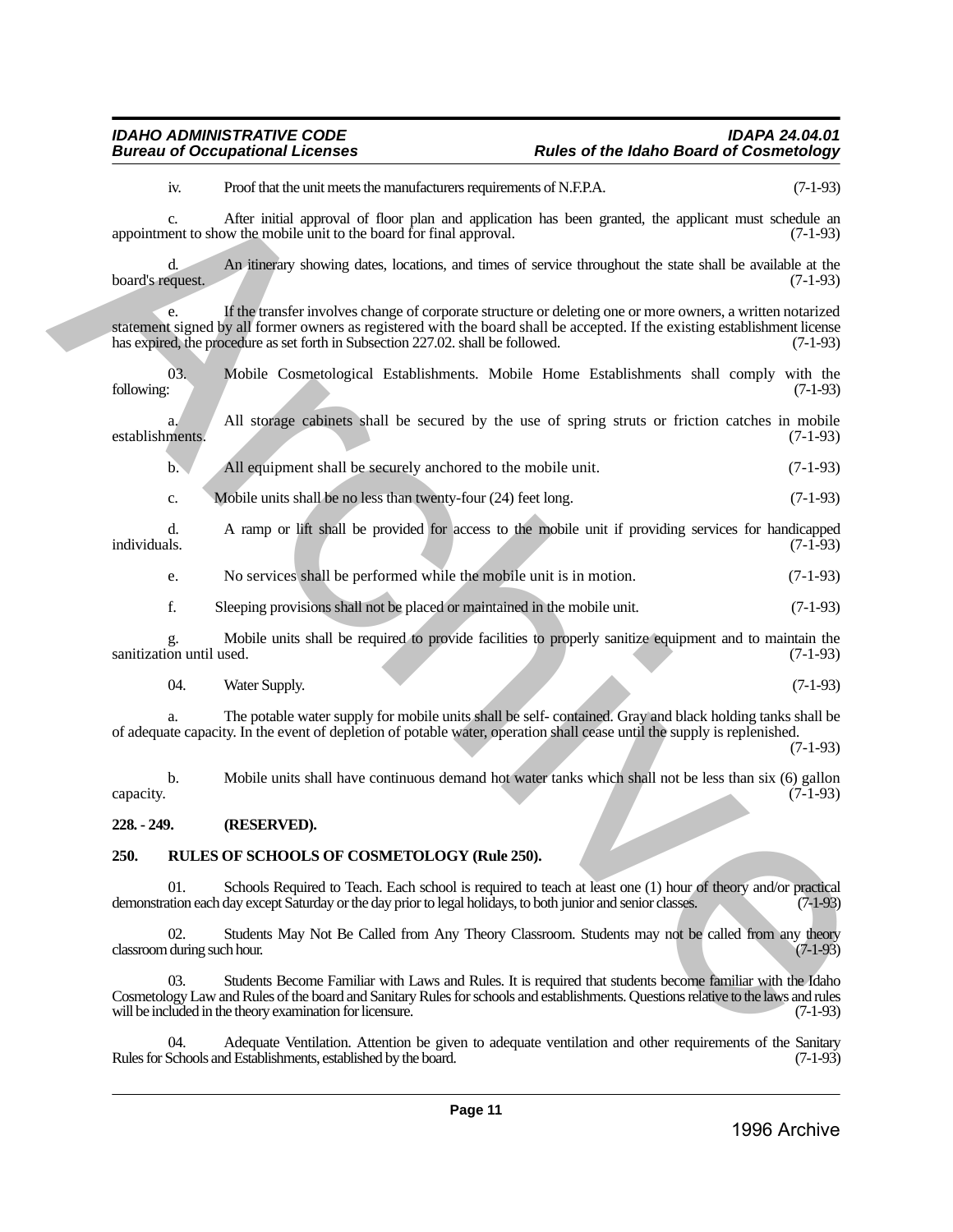### *IDAHO ADMINISTRATIVE CODE IDAPA 24.04.01* **Rules of the Idaho Board of Cosmetology**

iv. Proof that the unit meets the manufacturers requirements of N.F.P.A. (7-1-93)

c. After initial approval of floor plan and application has been granted, the applicant must schedule an appointment to show the mobile unit to the board for final approval. (7-1-93)

d. An itinerary showing dates, locations, and times of service throughout the state shall be available at the board's request.

e. If the transfer involves change of corporate structure or deleting one or more owners, a written notarized statement signed by all former owners as registered with the board shall be accepted. If the existing establishment license<br>has expired, the procedure as set forth in Subsection 227.02. shall be followed. has expired, the procedure as set forth in Subsection 227.02. shall be followed. We are the three three methods may represent to the plane are particular to the plane are produced to the spin of the spin of the spin of the spin of the spin of the spin of the spin of the spin of the spin of the spin of

03. Mobile Cosmetological Establishments. Mobile Home Establishments shall comply with the following: (7-1-93) following: (7-1-93)

a. All storage cabinets shall be secured by the use of spring struts or friction catches in mobile (7-1-93) establishments.

b. All equipment shall be securely anchored to the mobile unit. (7-1-93)

c. Mobile units shall be no less than twenty-four (24) feet long. (7-1-93)

d. A ramp or lift shall be provided for access to the mobile unit if providing services for handicapped individuals. (7-1-93)

e. No services shall be performed while the mobile unit is in motion. (7-1-93)

f. Sleeping provisions shall not be placed or maintained in the mobile unit. (7-1-93)

g. Mobile units shall be required to provide facilities to properly sanitize equipment and to maintain the  $s$ anitization until used.  $(7-1-93)$ 

04. Water Supply. (7-1-93)

a. The potable water supply for mobile units shall be self- contained. Gray and black holding tanks shall be of adequate capacity. In the event of depletion of potable water, operation shall cease until the supply is replenished.

(7-1-93)

b. Mobile units shall have continuous demand hot water tanks which shall not be less than six (6) gallon  $\alpha$  capacity.  $(7-1-93)$ 

#### <span id="page-10-0"></span>**228. - 249. (RESERVED).**

#### <span id="page-10-1"></span>**250. RULES OF SCHOOLS OF COSMETOLOGY (Rule 250).**

01. Schools Required to Teach. Each school is required to teach at least one (1) hour of theory and/or practical demonstration each day except Saturday or the day prior to legal holidays, to both junior and senior classes. (7-1-93)

02. Students May Not Be Called from Any Theory Classroom. Students may not be called from any theory during such hour.  $(7-1-93)$ classroom during such hour.

03. Students Become Familiar with Laws and Rules. It is required that students become familiar with the Idaho Cosmetology Law and Rules of the board and Sanitary Rules for schools and establishments. Questions relative to the laws and rules will be included in the theory examination for licensure. (7-1-93)

04. Adequate Ventilation. Attention be given to adequate ventilation and other requirements of the Sanitary<br>Schools and Establishments, established by the board. Rules for Schools and Establishments, established by the board.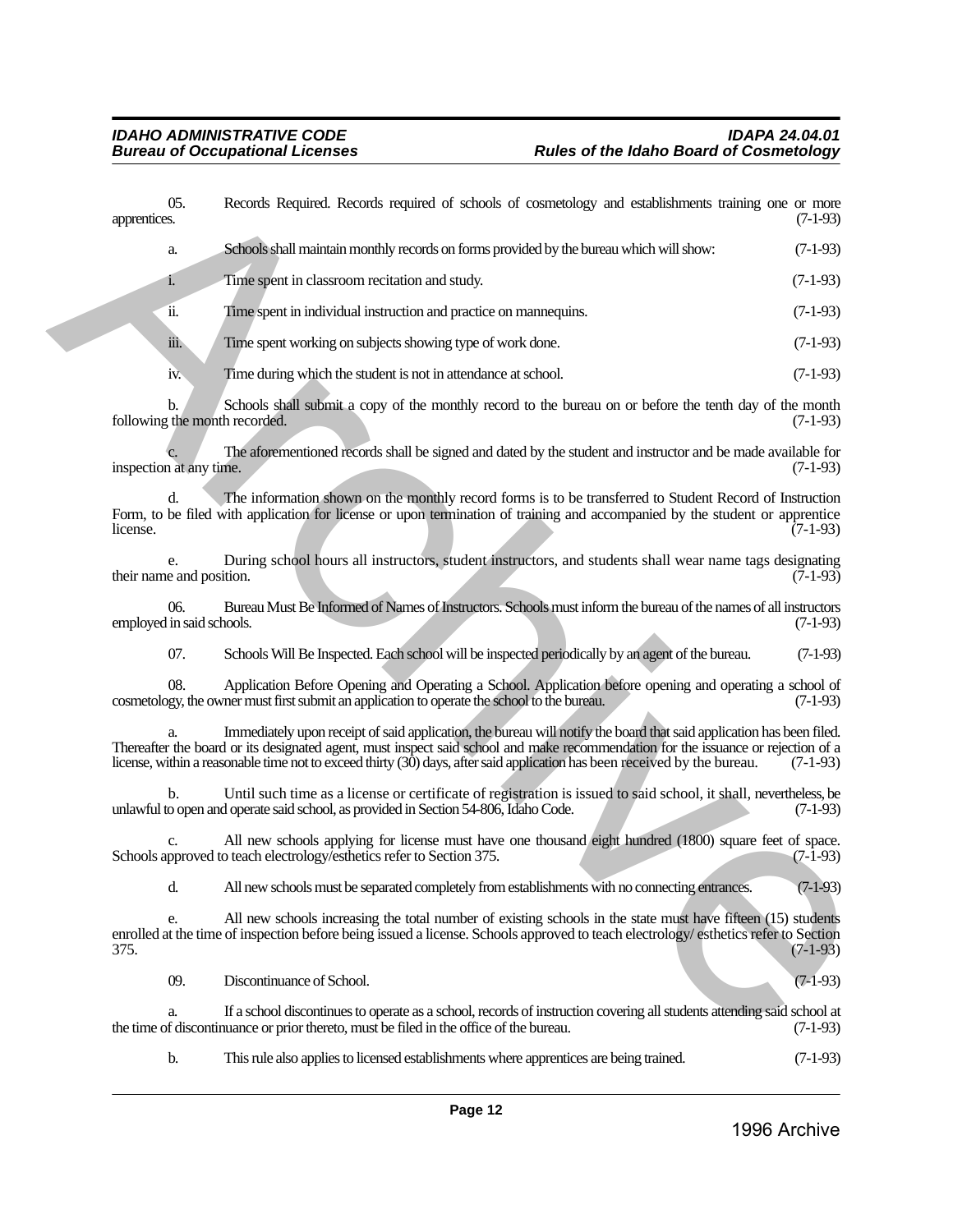| apprentices. | 05.                              | Records Required. Records required of schools of cosmetology and establishments training one or more                                                                                                                                                                                                                                                                                   | $(7-1-93)$ |
|--------------|----------------------------------|----------------------------------------------------------------------------------------------------------------------------------------------------------------------------------------------------------------------------------------------------------------------------------------------------------------------------------------------------------------------------------------|------------|
|              | a.                               | Schools shall maintain monthly records on forms provided by the bureau which will show:                                                                                                                                                                                                                                                                                                | $(7-1-93)$ |
|              | $\mathbf{i}$ .                   | Time spent in classroom recitation and study.                                                                                                                                                                                                                                                                                                                                          | $(7-1-93)$ |
|              | ïi.                              | Time spent in individual instruction and practice on mannequins.                                                                                                                                                                                                                                                                                                                       | $(7-1-93)$ |
|              | iii.                             | Time spent working on subjects showing type of work done.                                                                                                                                                                                                                                                                                                                              | $(7-1-93)$ |
|              | iv.                              | Time during which the student is not in attendance at school.                                                                                                                                                                                                                                                                                                                          | $(7-1-93)$ |
|              | b.                               | Schools shall submit a copy of the monthly record to the bureau on or before the tenth day of the month<br>following the month recorded.                                                                                                                                                                                                                                               | $(7-1-93)$ |
|              | inspection at any time.          | The aforementioned records shall be signed and dated by the student and instructor and be made available for                                                                                                                                                                                                                                                                           | $(7-1-93)$ |
| license.     | d.                               | The information shown on the monthly record forms is to be transferred to Student Record of Instruction<br>Form, to be filed with application for license or upon termination of training and accompanied by the student or apprentice                                                                                                                                                 | $(7-1-93)$ |
|              | e.<br>their name and position.   | During school hours all instructors, student instructors, and students shall wear name tags designating                                                                                                                                                                                                                                                                                | $(7-1-93)$ |
|              | 06.<br>employed in said schools. | Bureau Must Be Informed of Names of Instructors. Schools must inform the bureau of the names of all instructors                                                                                                                                                                                                                                                                        | $(7-1-93)$ |
|              | 07.                              | Schools Will Be Inspected. Each school will be inspected periodically by an agent of the bureau.                                                                                                                                                                                                                                                                                       | $(7-1-93)$ |
|              | 08.                              | Application Before Opening and Operating a School. Application before opening and operating a school of<br>cosmetology, the owner must first submit an application to operate the school to the bureau.                                                                                                                                                                                | $(7-1-93)$ |
|              |                                  | Immediately upon receipt of said application, the bureau will notify the board that said application has been filed.<br>Thereafter the board or its designated agent, must inspect said school and make recommendation for the issuance or rejection of a<br>license, within a reasonable time not to exceed thirty (30) days, after said application has been received by the bureau. | $(7-1-93)$ |
|              | b.                               | Until such time as a license or certificate of registration is issued to said school, it shall, nevertheless, be<br>unlawful to open and operate said school, as provided in Section 54-806, Idaho Code.                                                                                                                                                                               | $(7-1-93)$ |
|              | C.                               | All new schools applying for license must have one thousand eight hundred (1800) square feet of space.<br>Schools approved to teach electrology/esthetics refer to Section 375.                                                                                                                                                                                                        | $(7-1-93)$ |
|              | d.                               | All new schools must be separated completely from establishments with no connecting entrances.                                                                                                                                                                                                                                                                                         | $(7-1-93)$ |
| 375.         | e.                               | All new schools increasing the total number of existing schools in the state must have fifteen (15) students<br>enrolled at the time of inspection before being issued a license. Schools approved to teach electrology/esthetics refer to Section                                                                                                                                     | $(7-1-93)$ |
|              | 09.                              | Discontinuance of School.                                                                                                                                                                                                                                                                                                                                                              | $(7-1-93)$ |
|              | a.                               | If a school discontinues to operate as a school, records of instruction covering all students attending said school at<br>the time of discontinuance or prior thereto, must be filed in the office of the bureau.                                                                                                                                                                      | $(7-1-93)$ |

b. This rule also applies to licensed establishments where apprentices are being trained. (7-1-93)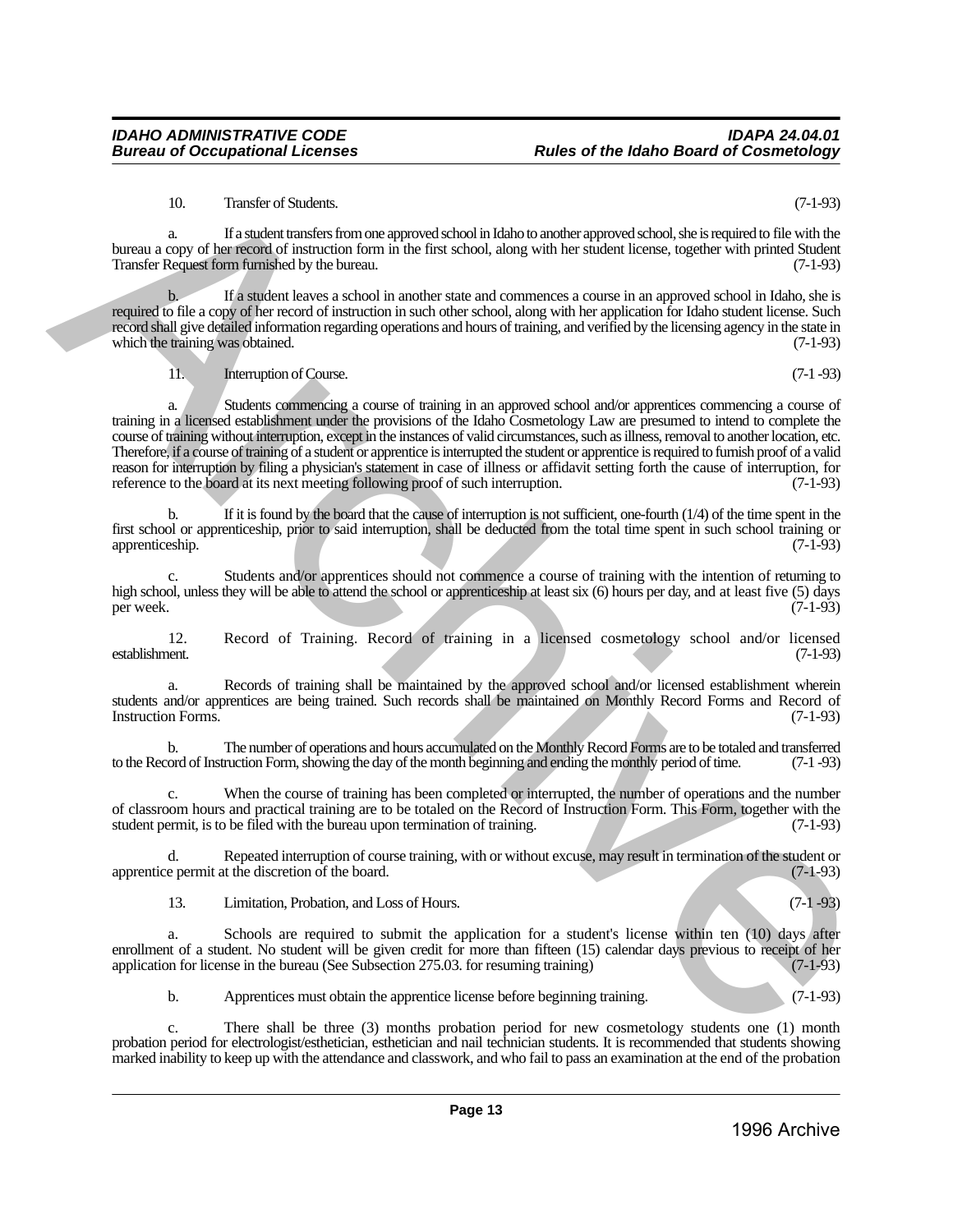# *IDAHO ADMINISTRATIVE CODE IDAPA 24.04.01* **Rules of the Idaho Board of Cosmetology**

# 10. Transfer of Students. (7-1-93)

a. If a student transfers from one approved school in Idaho to another approved school, she is required to file with the bureau a copy of her record of instruction form in the first school, along with her student license, together with printed Student Transfer Request form furnished by the bureau. (7-1-93)

b. If a student leaves a school in another state and commences a course in an approved school in Idaho, she is required to file a copy of her record of instruction in such other school, along with her application for Idaho student license. Such record shall give detailed information regarding operations and hours of training, and verified by the licensing agency in the state in which the training was obtained. (7-1-93) which the training was obtained.

11. Interruption of Course. (7-1 -93)

a. Students commencing a course of training in an approved school and/or apprentices commencing a course of training in a licensed establishment under the provisions of the Idaho Cosmetology Law are presumed to intend to complete the course of training without interruption, except in the instances of valid circumstances, such as illness, removal to another location, etc. Therefore, if a course of training of a student or apprentice is interrupted the student or apprentice is required to furnish proof of a valid reason for interruption by filing a physician's statement in case of illness or affidavit setting forth the cause of interruption, for reference to the board at its next meeting following proof of such interruption. (7-1-9 reference to the board at its next meeting following proof of such interruption. 10. Transfer of Statents.<br>
The state activity transfer for any moved school and be the small delay to under opproved school ab is equilibre to the small of the small of the small of the small of the small of the small of

b. If it is found by the board that the cause of interruption is not sufficient, one-fourth (1/4) of the time spent in the first school or apprenticeship, prior to said interruption, shall be deducted from the total time spent in such school training or apprenticeship. (7-1-93) apprenticeship.

c. Students and/or apprentices should not commence a course of training with the intention of returning to high school, unless they will be able to attend the school or apprenticeship at least six (6) hours per day, and at least five (5) days per week. per week. (7-1-93)

12. Record of Training. Record of training in a licensed cosmetology school and/or licensed establishment. (7-1-93)

a. Records of training shall be maintained by the approved school and/or licensed establishment wherein students and/or apprentices are being trained. Such records shall be maintained on Monthly Record Forms and Record of Instruction Forms. (7-1-93) Instruction Forms.

b. The number of operations and hours accumulated on the Monthly Record Forms are to be totaled and transferred ord of Instruction Form, showing the day of the month beginning and ending the monthly period of time. (7-1-93 to the Record of Instruction Form, showing the day of the month beginning and ending the monthly period of time.

c. When the course of training has been completed or interrupted, the number of operations and the number of classroom hours and practical training are to be totaled on the Record of Instruction Form. This Form, together with the student permit, is to be filed with the bureau upon termination of training. (7-1-93)

d. Repeated interruption of course training, with or without excuse, may result in termination of the student or apprentice permit at the discretion of the board.

13. Limitation, Probation, and Loss of Hours. (7-1 -93)

a. Schools are required to submit the application for a student's license within ten (10) days after enrollment of a student. No student will be given credit for more than fifteen (15) calendar days previous to receipt of her application for license in the bureau (See Subsection 275.03. for resuming training) (7-1-93) application for license in the bureau (See Subsection 275.03. for resuming training)

b. Apprentices must obtain the apprentice license before beginning training. (7-1-93)

c. There shall be three (3) months probation period for new cosmetology students one (1) month probation period for electrologist/esthetician, esthetician and nail technician students. It is recommended that students showing marked inability to keep up with the attendance and classwork, and who fail to pass an examination at the end of the probation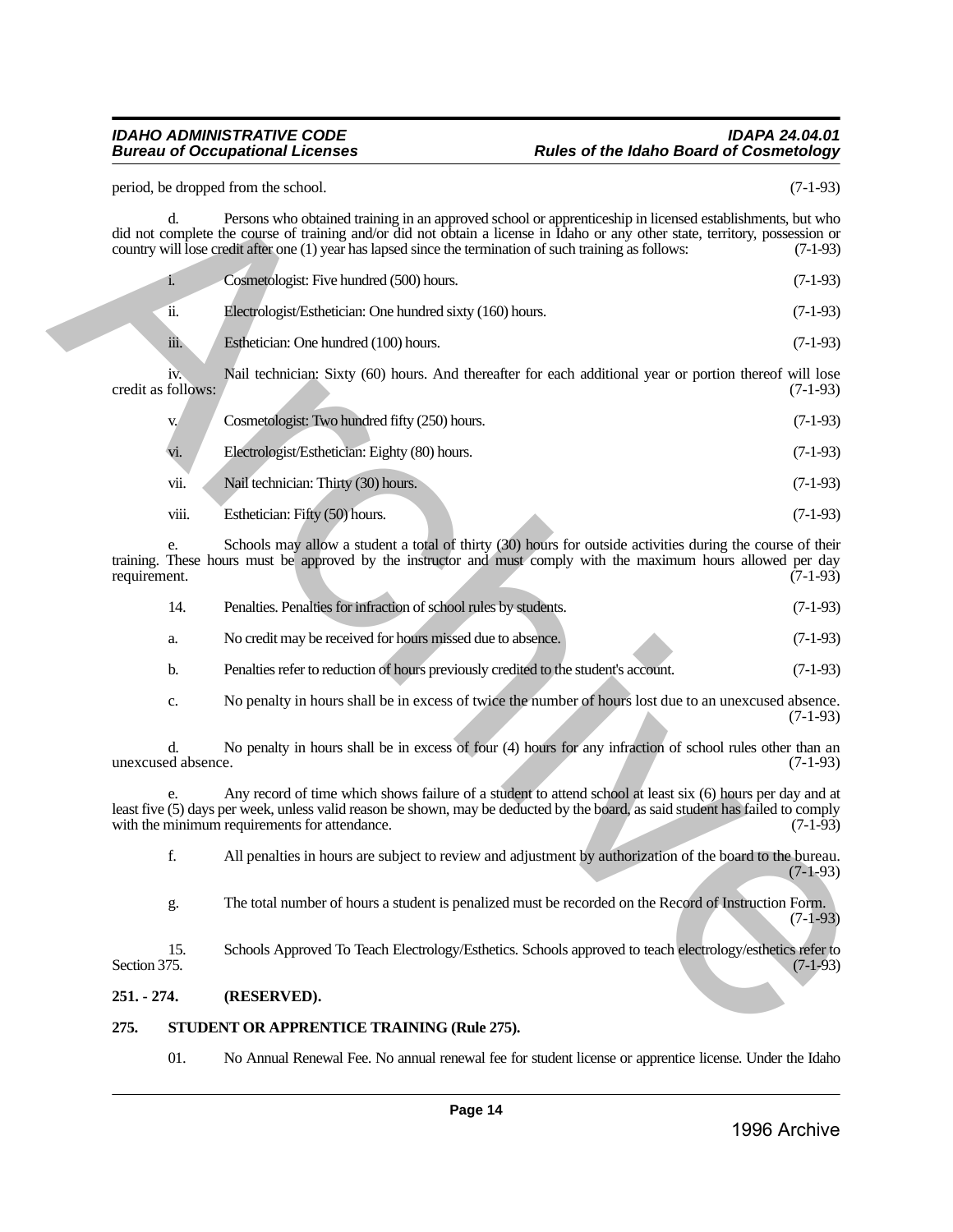#### *IDAHO ADMINISTRATIVE CODE IDAPA 24.04.01* **Rules of the Idaho Board of Cosmetology**

| 275.          |                                       | STUDENT OR APPRENTICE TRAINING (Rule 275).                                                                                                                                                                                                                                                                                                              |            |
|---------------|---------------------------------------|---------------------------------------------------------------------------------------------------------------------------------------------------------------------------------------------------------------------------------------------------------------------------------------------------------------------------------------------------------|------------|
| $251. - 274.$ |                                       | (RESERVED).                                                                                                                                                                                                                                                                                                                                             |            |
| Section 375.  | 15.                                   | Schools Approved To Teach Electrology/Esthetics. Schools approved to teach electrology/esthetics refer to                                                                                                                                                                                                                                               | $(7-1-93)$ |
|               | g.                                    | The total number of hours a student is penalized must be recorded on the Record of Instruction Form.                                                                                                                                                                                                                                                    | $(7-1-93)$ |
|               | f.                                    | All penalties in hours are subject to review and adjustment by authorization of the board to the bureau.                                                                                                                                                                                                                                                | $(7-1-93)$ |
|               | e.                                    | Any record of time which shows failure of a student to attend school at least six (6) hours per day and at<br>least five (5) days per week, unless valid reason be shown, may be deducted by the board, as said student has failed to comply<br>with the minimum requirements for attendance.                                                           | $(7-1-93)$ |
|               | d.<br>unexcused absence.              | No penalty in hours shall be in excess of four (4) hours for any infraction of school rules other than an                                                                                                                                                                                                                                               | $(7-1-93)$ |
|               | c.                                    | No penalty in hours shall be in excess of twice the number of hours lost due to an unexcused absence.                                                                                                                                                                                                                                                   | $(7-1-93)$ |
|               | b.                                    | Penalties refer to reduction of hours previously credited to the student's account.                                                                                                                                                                                                                                                                     | $(7-1-93)$ |
|               | a.                                    | No credit may be received for hours missed due to absence.                                                                                                                                                                                                                                                                                              | $(7-1-93)$ |
|               | 14.                                   | Penalties. Penalties for infraction of school rules by students.                                                                                                                                                                                                                                                                                        | $(7-1-93)$ |
| requirement.  | e.                                    | Schools may allow a student a total of thirty (30) hours for outside activities during the course of their<br>training. These hours must be approved by the instructor and must comply with the maximum hours allowed per day                                                                                                                           | $(7-1-93)$ |
|               | viii.                                 | Esthetician: Fifty (50) hours.                                                                                                                                                                                                                                                                                                                          | $(7-1-93)$ |
|               | vii.                                  | Nail technician: Thirty (30) hours.                                                                                                                                                                                                                                                                                                                     | $(7-1-93)$ |
|               | vi.                                   | Electrologist/Esthetician: Eighty (80) hours.                                                                                                                                                                                                                                                                                                           | $(7-1-93)$ |
|               | V.                                    | Cosmetologist: Two hundred fifty (250) hours.                                                                                                                                                                                                                                                                                                           | $(7-1-93)$ |
|               | 1V <sub>1</sub><br>credit as follows: | Nail technician: Sixty (60) hours. And thereafter for each additional year or portion thereof will lose                                                                                                                                                                                                                                                 | $(7-1-93)$ |
|               | iii.                                  | Esthetician: One hundred (100) hours.                                                                                                                                                                                                                                                                                                                   | $(7-1-93)$ |
|               | ïi.                                   | Electrologist/Esthetician: One hundred sixty (160) hours.                                                                                                                                                                                                                                                                                               | $(7-1-93)$ |
|               | i.                                    | Cosmetologist: Five hundred (500) hours.                                                                                                                                                                                                                                                                                                                | $(7-1-93)$ |
|               | d.                                    | Persons who obtained training in an approved school or apprenticeship in licensed establishments, but who<br>did not complete the course of training and/or did not obtain a license in Idaho or any other state, territory, possession or<br>country will lose credit after one (1) year has lapsed since the termination of such training as follows: | $(7-1-93)$ |
|               |                                       | period, be dropped from the school.                                                                                                                                                                                                                                                                                                                     | $(7-1-93)$ |

| Penalties. Penalties for infraction of school rules by students. | $(7-1-93)$ |
|------------------------------------------------------------------|------------|
| No credit may be received for hours missed due to absence.       | $(7-1-93)$ |

- b. Penalties refer to reduction of hours previously credited to the student's account. (7-1-93)
- c. No penalty in hours shall be in excess of twice the number of hours lost due to an unexcused absence. (7-1-93)

#### <span id="page-13-0"></span>**251. - 274. (RESERVED).**

### <span id="page-13-1"></span>**275. STUDENT OR APPRENTICE TRAINING (Rule 275).**

01. No Annual Renewal Fee. No annual renewal fee for student license or apprentice license. Under the Idaho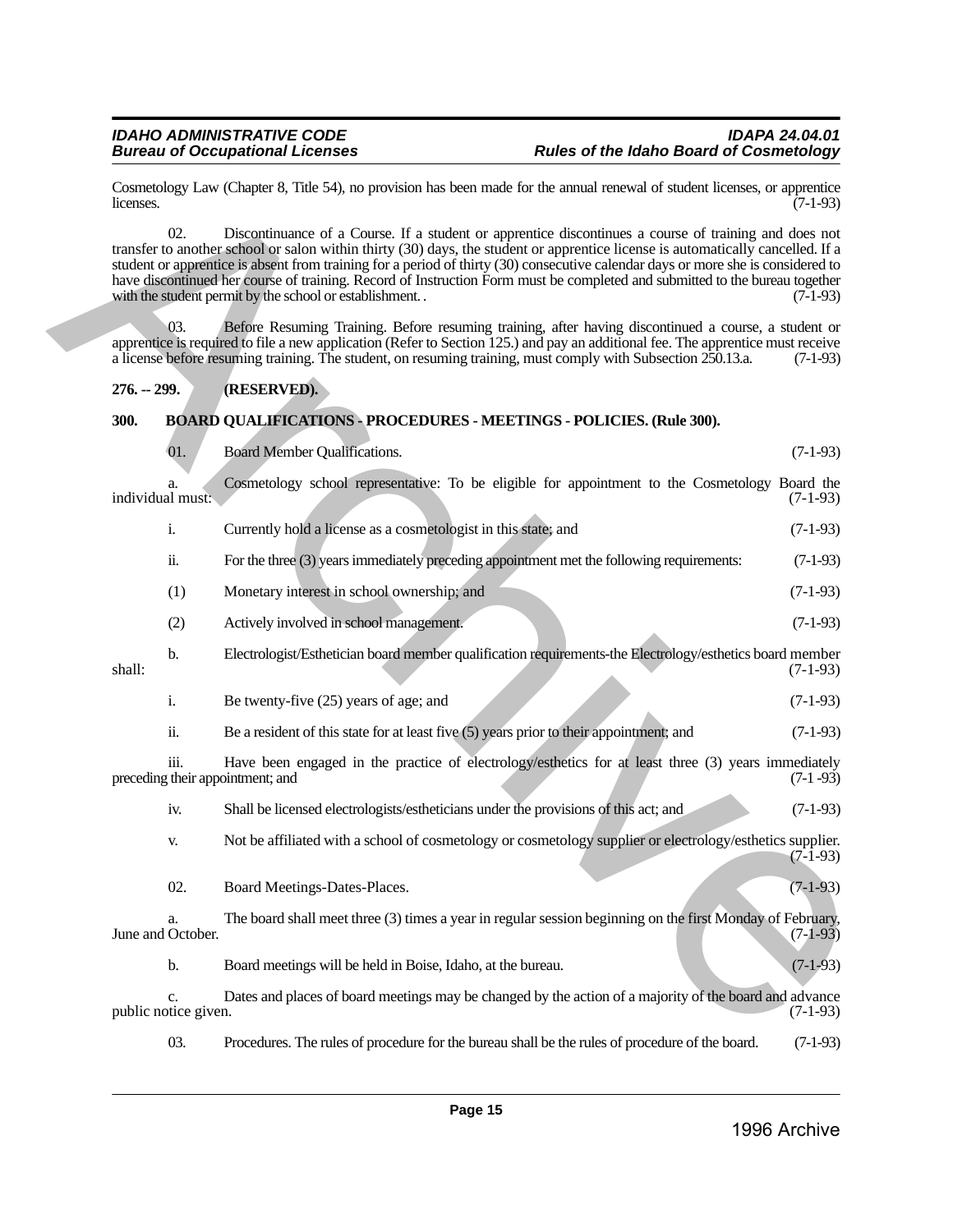#### <span id="page-14-1"></span><span id="page-14-0"></span>**300. BOARD QUALIFICATIONS - PROCEDURES - MEETINGS - POLICIES. (Rule 300).**

| Cosmetology Law (Chapter 8, Title 54), no provision has been made for the annual renewal of student licenses, or apprentice<br>licenses. |                            |                                                                                                                                                                                                                                                                                                                                                                                                                                                                                                                                                                       |            |  |
|------------------------------------------------------------------------------------------------------------------------------------------|----------------------------|-----------------------------------------------------------------------------------------------------------------------------------------------------------------------------------------------------------------------------------------------------------------------------------------------------------------------------------------------------------------------------------------------------------------------------------------------------------------------------------------------------------------------------------------------------------------------|------------|--|
|                                                                                                                                          | 02.                        | Discontinuance of a Course. If a student or apprentice discontinues a course of training and does not<br>transfer to another school or salon within thirty (30) days, the student or apprentice license is automatically cancelled. If a<br>student or apprentice is absent from training for a period of thirty (30) consecutive calendar days or more she is considered to<br>have discontinued her course of training. Record of Instruction Form must be completed and submitted to the bureau together<br>with the student permit by the school or establishment | $(7-1-93)$ |  |
|                                                                                                                                          | 03.                        | Before Resuming Training. Before resuming training, after having discontinued a course, a student or<br>apprentice is required to file a new application (Refer to Section 125.) and pay an additional fee. The apprentice must receive<br>a license before resuming training. The student, on resuming training, must comply with Subsection 250.13.a.                                                                                                                                                                                                               | $(7-1-93)$ |  |
| $276. - 299.$                                                                                                                            |                            | (RESERVED).                                                                                                                                                                                                                                                                                                                                                                                                                                                                                                                                                           |            |  |
| 300.                                                                                                                                     |                            | <b>BOARD QUALIFICATIONS - PROCEDURES - MEETINGS - POLICIES. (Rule 300).</b>                                                                                                                                                                                                                                                                                                                                                                                                                                                                                           |            |  |
|                                                                                                                                          | 01.                        | Board Member Qualifications.                                                                                                                                                                                                                                                                                                                                                                                                                                                                                                                                          | $(7-1-93)$ |  |
| individual must:                                                                                                                         | a.                         | Cosmetology school representative: To be eligible for appointment to the Cosmetology Board the                                                                                                                                                                                                                                                                                                                                                                                                                                                                        | $(7-1-93)$ |  |
|                                                                                                                                          | i.                         | Currently hold a license as a cosmetologist in this state; and                                                                                                                                                                                                                                                                                                                                                                                                                                                                                                        | $(7-1-93)$ |  |
|                                                                                                                                          | ii.                        | For the three (3) years immediately preceding appointment met the following requirements:                                                                                                                                                                                                                                                                                                                                                                                                                                                                             | $(7-1-93)$ |  |
|                                                                                                                                          | (1)                        | Monetary interest in school ownership; and                                                                                                                                                                                                                                                                                                                                                                                                                                                                                                                            | $(7-1-93)$ |  |
|                                                                                                                                          | (2)                        | Actively involved in school management.                                                                                                                                                                                                                                                                                                                                                                                                                                                                                                                               | $(7-1-93)$ |  |
| shall:                                                                                                                                   | b.                         | Electrologist/Esthetician board member qualification requirements-the Electrology/esthetics board member                                                                                                                                                                                                                                                                                                                                                                                                                                                              | $(7-1-93)$ |  |
|                                                                                                                                          | i.                         | Be twenty-five (25) years of age; and                                                                                                                                                                                                                                                                                                                                                                                                                                                                                                                                 | $(7-1-93)$ |  |
|                                                                                                                                          | ii.                        | Be a resident of this state for at least five $(5)$ years prior to their appointment; and                                                                                                                                                                                                                                                                                                                                                                                                                                                                             | $(7-1-93)$ |  |
|                                                                                                                                          | iii.                       | Have been engaged in the practice of electrology/esthetics for at least three (3) years immediately<br>preceding their appointment; and                                                                                                                                                                                                                                                                                                                                                                                                                               | $(7-1-93)$ |  |
|                                                                                                                                          | iv.                        | Shall be licensed electrologists/estheticians under the provisions of this act; and                                                                                                                                                                                                                                                                                                                                                                                                                                                                                   | $(7-1-93)$ |  |
|                                                                                                                                          | V.                         | Not be affiliated with a school of cosmetology or cosmetology supplier or electrology/esthetics supplier.                                                                                                                                                                                                                                                                                                                                                                                                                                                             | $(7-1-93)$ |  |
|                                                                                                                                          | 02.                        | Board Meetings-Dates-Places.                                                                                                                                                                                                                                                                                                                                                                                                                                                                                                                                          | $(7-1-93)$ |  |
|                                                                                                                                          | a.<br>June and October.    | The board shall meet three (3) times a year in regular session beginning on the first Monday of February,                                                                                                                                                                                                                                                                                                                                                                                                                                                             | $(7-1-93)$ |  |
|                                                                                                                                          | b.                         | Board meetings will be held in Boise, Idaho, at the bureau.                                                                                                                                                                                                                                                                                                                                                                                                                                                                                                           | $(7-1-93)$ |  |
|                                                                                                                                          | c.<br>public notice given. | Dates and places of board meetings may be changed by the action of a majority of the board and advance                                                                                                                                                                                                                                                                                                                                                                                                                                                                | $(7-1-93)$ |  |
|                                                                                                                                          | 03.                        | Procedures. The rules of procedure for the bureau shall be the rules of procedure of the board.                                                                                                                                                                                                                                                                                                                                                                                                                                                                       | $(7-1-93)$ |  |
|                                                                                                                                          |                            |                                                                                                                                                                                                                                                                                                                                                                                                                                                                                                                                                                       |            |  |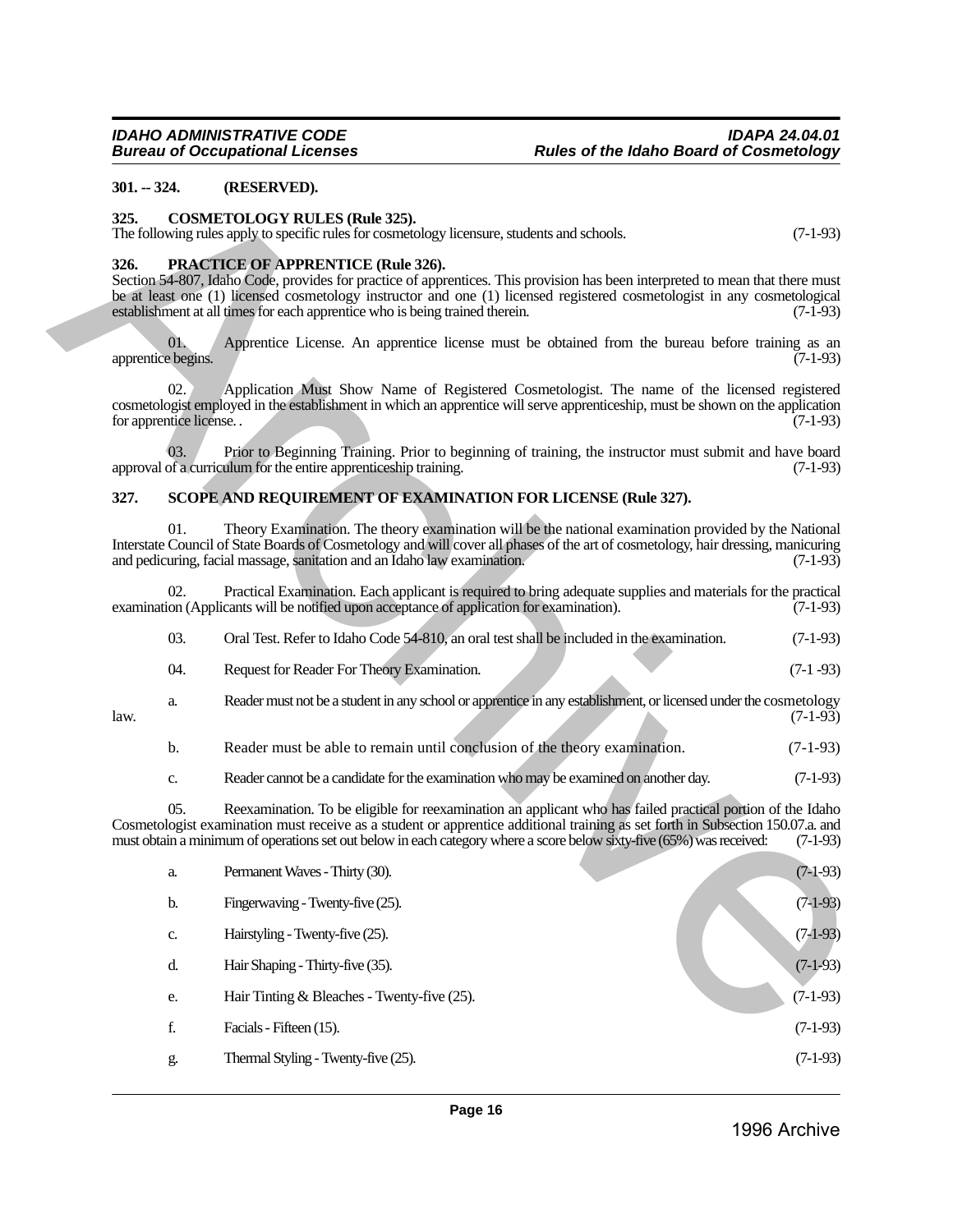#### <span id="page-15-0"></span>**301. -- 324. (RESERVED).**

#### <span id="page-15-1"></span>**325. COSMETOLOGY RULES (Rule 325).**

#### <span id="page-15-2"></span>**326. PRACTICE OF APPRENTICE (Rule 326).**

#### <span id="page-15-3"></span>**327. SCOPE AND REQUIREMENT OF EXAMINATION FOR LICENSE (Rule 327).**

| 03. | Oral Test. Refer to Idaho Code 54-810, an oral test shall be included in the examination.                        | $(7-1-93)$ |
|-----|------------------------------------------------------------------------------------------------------------------|------------|
| 04. | Request for Reader For Theory Examination.                                                                       | $(7-1-93)$ |
| a.  | Reader must not be a student in any school or apprentice in any establishment, or licensed under the cosmetology | $(7-1-93)$ |

| $301. - 324.$      |                               | (RESERVED).                                                                                                                                                                                                                                                                                                                                                                           |            |
|--------------------|-------------------------------|---------------------------------------------------------------------------------------------------------------------------------------------------------------------------------------------------------------------------------------------------------------------------------------------------------------------------------------------------------------------------------------|------------|
| 325.               |                               | <b>COSMETOLOGY RULES (Rule 325).</b><br>The following rules apply to specific rules for cosmetology licensure, students and schools.                                                                                                                                                                                                                                                  | $(7-1-93)$ |
| 326.               |                               | <b>PRACTICE OF APPRENTICE (Rule 326).</b><br>Section 54-807, Idaho Code, provides for practice of apprentices. This provision has been interpreted to mean that there must<br>be at least one (1) licensed cosmetology instructor and one (1) licensed registered cosmetologist in any cosmetological<br>establishment at all times for each apprentice who is being trained therein. | $(7-1-93)$ |
| apprentice begins. | 01.                           | Apprentice License. An apprentice license must be obtained from the bureau before training as an                                                                                                                                                                                                                                                                                      | $(7-1-93)$ |
|                    | 02.<br>for apprentice license | Application Must Show Name of Registered Cosmetologist. The name of the licensed registered<br>cosmetologist employed in the establishment in which an apprentice will serve apprenticeship, must be shown on the application                                                                                                                                                         | $(7-1-93)$ |
|                    | 03.                           | Prior to Beginning Training. Prior to beginning of training, the instructor must submit and have board<br>approval of a curriculum for the entire apprenticeship training.                                                                                                                                                                                                            | $(7-1-93)$ |
| 327.               |                               | SCOPE AND REQUIREMENT OF EXAMINATION FOR LICENSE (Rule 327).                                                                                                                                                                                                                                                                                                                          |            |
|                    | 01.                           | Theory Examination. The theory examination will be the national examination provided by the National<br>Interstate Council of State Boards of Cosmetology and will cover all phases of the art of cosmetology, hair dressing, manicuring<br>and pedicuring, facial massage, sanitation and an Idaho law examination.                                                                  | $(7-1-93)$ |
|                    | 02.                           | Practical Examination. Each applicant is required to bring adequate supplies and materials for the practical<br>examination (Applicants will be notified upon acceptance of application for examination).                                                                                                                                                                             | $(7-1-93)$ |
|                    | 03.                           | Oral Test. Refer to Idaho Code 54-810, an oral test shall be included in the examination.                                                                                                                                                                                                                                                                                             | $(7-1-93)$ |
|                    | 04.                           | Request for Reader For Theory Examination.                                                                                                                                                                                                                                                                                                                                            | $(7-1-93)$ |
| law.               | a.                            | Reader must not be a student in any school or apprentice in any establishment, or licensed under the cosmetology                                                                                                                                                                                                                                                                      | $(7-1-93)$ |
|                    | b.                            | Reader must be able to remain until conclusion of the theory examination.                                                                                                                                                                                                                                                                                                             | $(7-1-93)$ |
|                    | c.                            | Reader cannot be a candidate for the examination who may be examined on another day.                                                                                                                                                                                                                                                                                                  | $(7-1-93)$ |
|                    | 05.                           | Reexamination. To be eligible for reexamination an applicant who has failed practical portion of the Idaho<br>Cosmetologist examination must receive as a student or apprentice additional training as set forth in Subsection 150.07.a. and<br>must obtain a minimum of operations set out below in each category where a score below sixty-five (65%) was received:                 | $(7-1-93)$ |
|                    | a.                            | Permanent Waves - Thirty (30).                                                                                                                                                                                                                                                                                                                                                        | $(7-1-93)$ |
|                    | b.                            | Fingerwaving - Twenty-five (25).                                                                                                                                                                                                                                                                                                                                                      | $(7-1-93)$ |
|                    | $\mathbf{C}$                  | Hairstyling - Twenty-five (25).                                                                                                                                                                                                                                                                                                                                                       | $(7-1-93)$ |
|                    | d.                            | Hair Shaping - Thirty-five (35).                                                                                                                                                                                                                                                                                                                                                      | $(7-1-93)$ |
|                    | e.                            | Hair Tinting $& Bleaches - Twenty-five (25).$                                                                                                                                                                                                                                                                                                                                         | $(7-1-93)$ |
|                    | f.                            | Facials - Fifteen (15).                                                                                                                                                                                                                                                                                                                                                               | $(7-1-93)$ |
|                    | g.                            | Thermal Styling - Twenty-five (25).                                                                                                                                                                                                                                                                                                                                                   | $(7-1-93)$ |
|                    |                               |                                                                                                                                                                                                                                                                                                                                                                                       |            |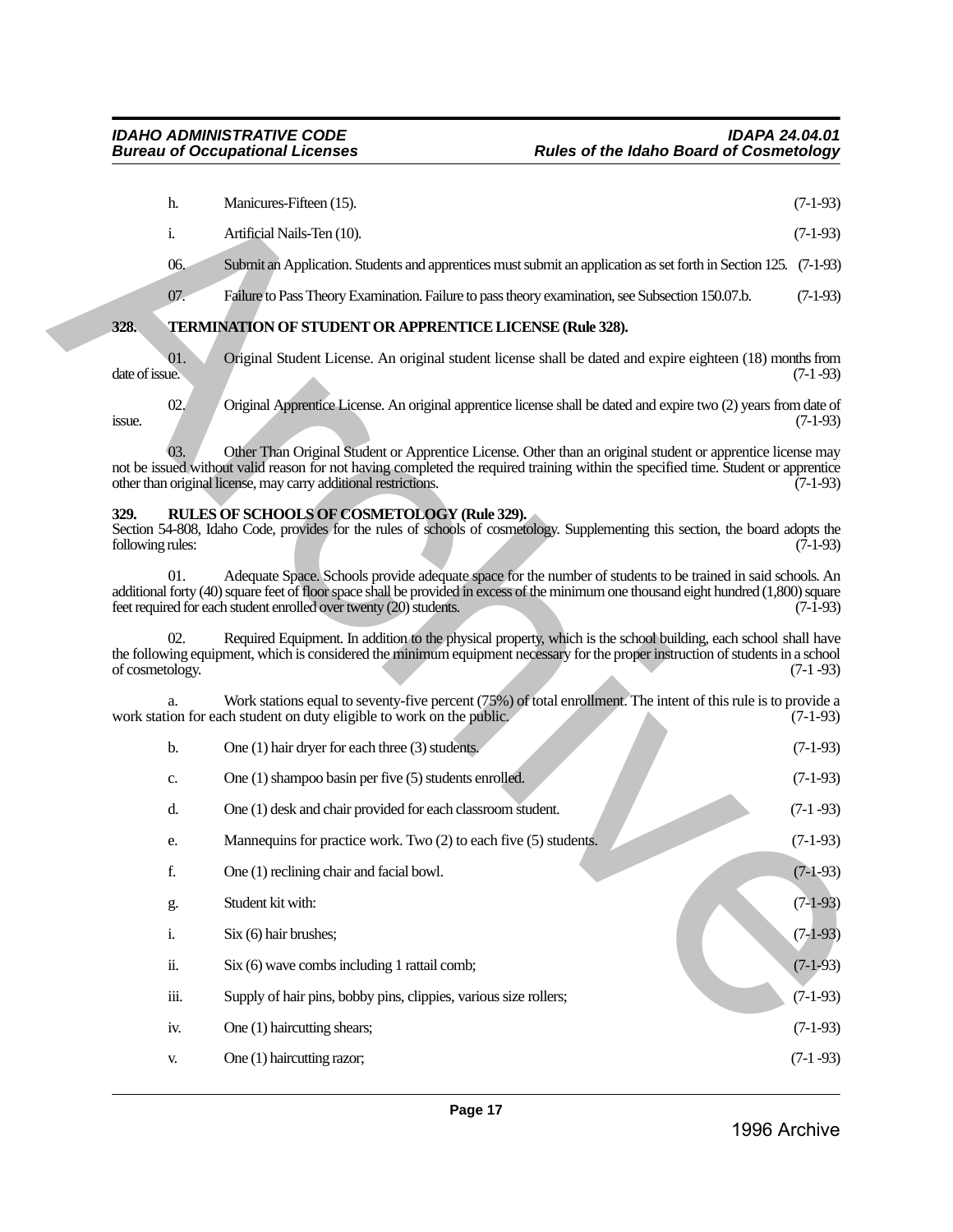<span id="page-16-1"></span><span id="page-16-0"></span>

|                          | h.             | Manicures-Fifteen (15).                                                                                                                                                                                                                                                                                                    | $(7-1-93)$ |
|--------------------------|----------------|----------------------------------------------------------------------------------------------------------------------------------------------------------------------------------------------------------------------------------------------------------------------------------------------------------------------------|------------|
|                          | $\mathbf{i}$ . | Artificial Nails-Ten (10).                                                                                                                                                                                                                                                                                                 | $(7-1-93)$ |
|                          | 06.            | Submit an Application. Students and apprentices must submit an application as set forth in Section 125. (7-1-93)                                                                                                                                                                                                           |            |
|                          | 07.            | Failure to Pass Theory Examination. Failure to pass theory examination, see Subsection 150.07.b.                                                                                                                                                                                                                           | $(7-1-93)$ |
| 328.                     |                | TERMINATION OF STUDENT OR APPRENTICE LICENSE (Rule 328).                                                                                                                                                                                                                                                                   |            |
| date of issue.           | 01.            | Original Student License. An original student license shall be dated and expire eighteen (18) months from                                                                                                                                                                                                                  | $(7-1-93)$ |
| issue.                   | 02.            | Original Apprentice License. An original apprentice license shall be dated and expire two (2) years from date of                                                                                                                                                                                                           | $(7-1-93)$ |
|                          | 03.            | Other Than Original Student or Apprentice License. Other than an original student or apprentice license may<br>not be issued without valid reason for not having completed the required training within the specified time. Student or apprentice<br>other than original license, may carry additional restrictions.       | $(7-1-93)$ |
| 329.<br>following rules: |                | RULES OF SCHOOLS OF COSMETOLOGY (Rule 329).<br>Section 54-808, Idaho Code, provides for the rules of schools of cosmetology. Supplementing this section, the board adopts the                                                                                                                                              | $(7-1-93)$ |
|                          | 01.            | Adequate Space. Schools provide adequate space for the number of students to be trained in said schools. An<br>additional forty (40) square feet of floor space shall be provided in excess of the minimum one thousand eight hundred (1,800) square<br>feet required for each student enrolled over twenty (20) students. | $(7-1-93)$ |
| of cosmetology.          | 02.            | Required Equipment. In addition to the physical property, which is the school building, each school shall have<br>the following equipment, which is considered the minimum equipment necessary for the proper instruction of students in a school                                                                          | $(7-1-93)$ |
|                          |                | Work stations equal to seventy-five percent (75%) of total enrollment. The intent of this rule is to provide a<br>work station for each student on duty eligible to work on the public.                                                                                                                                    | $(7-1-93)$ |
|                          | b.             | One $(1)$ hair dryer for each three $(3)$ students.                                                                                                                                                                                                                                                                        | $(7-1-93)$ |
|                          | c.             | One $(1)$ shampoo basin per five $(5)$ students enrolled.                                                                                                                                                                                                                                                                  | $(7-1-93)$ |
|                          | d.             | One (1) desk and chair provided for each classroom student.                                                                                                                                                                                                                                                                | $(7-1-93)$ |
|                          | e.             | Mannequins for practice work. Two (2) to each five (5) students.                                                                                                                                                                                                                                                           | $(7-1-93)$ |
|                          | f.             | One (1) reclining chair and facial bowl.                                                                                                                                                                                                                                                                                   | $(7-1-93)$ |
|                          | g.             | Student kit with:                                                                                                                                                                                                                                                                                                          | $(7-1-93)$ |
|                          | $\mathbf{i}$ . | Six (6) hair brushes;                                                                                                                                                                                                                                                                                                      | $(7-1-93)$ |
|                          | ii.            | Six (6) wave combs including 1 rattail comb;                                                                                                                                                                                                                                                                               | $(7-1-93)$ |
|                          | iii.           | Supply of hair pins, bobby pins, clippies, various size rollers;                                                                                                                                                                                                                                                           | $(7-1-93)$ |
|                          | iv.            | One (1) haircutting shears;                                                                                                                                                                                                                                                                                                | $(7-1-93)$ |

i. Six  $(6)$  hair brushes;  $(7-1-93)$ ii. Six (6) wave combs including 1 rattail comb; (7-1-93) iii. Supply of hair pins, bobby pins, clippies, various size rollers; (7-1-93) iv. One (1) haircutting shears; (7-1-93) v. One (1) haircutting razor; (7-1 -93)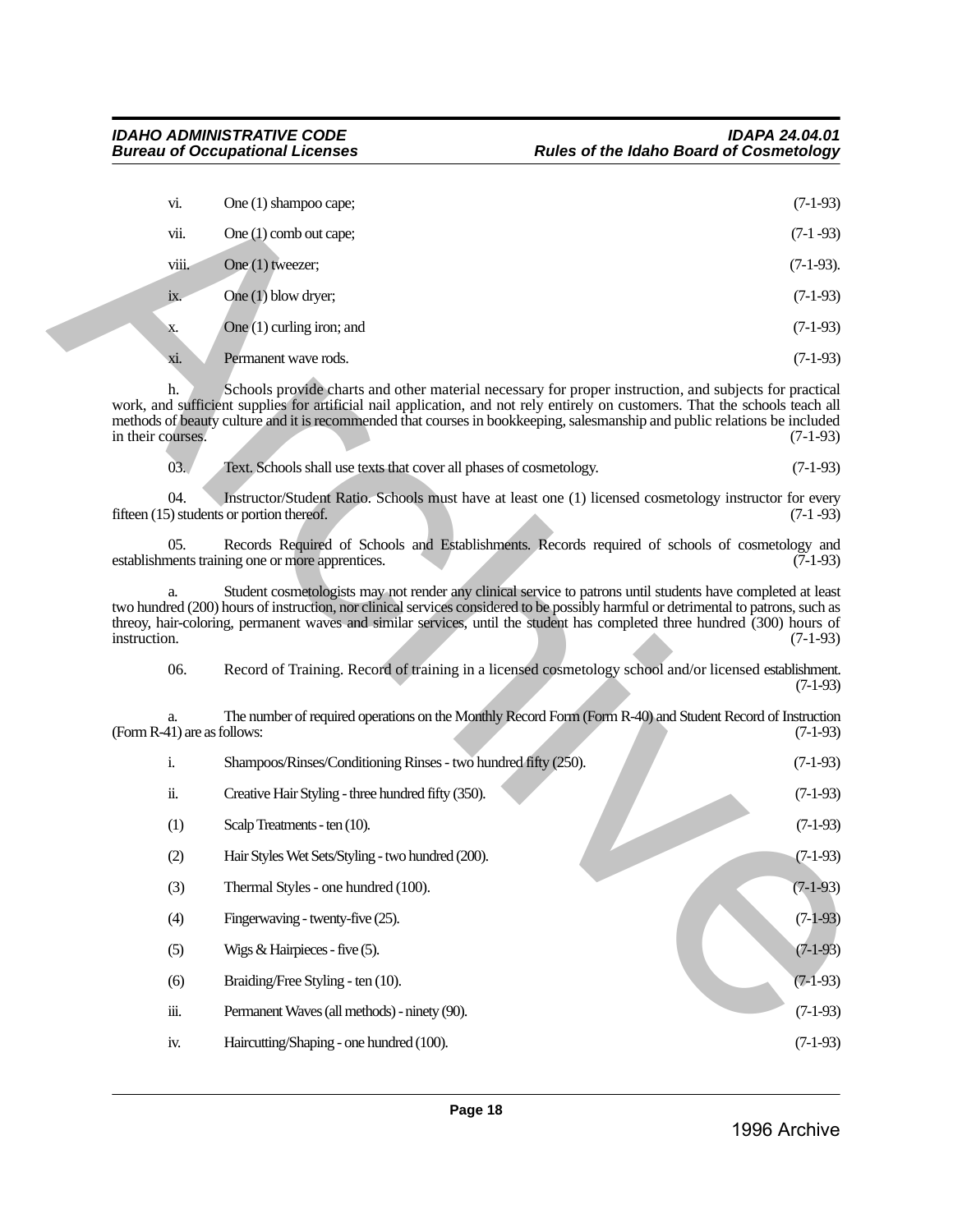| vi.               | One (1) shampoo cape;            | $(7-1-93)$   |
|-------------------|----------------------------------|--------------|
| vii.              | One $(1)$ comb out cape;         | $(7-1-93)$   |
| viii.             | One $(1)$ tweezer;               | $(7-1-93)$ . |
| $\overline{1}X$ . | One $\overline{(1)}$ blow dryer; | $(7-1-93)$   |
| X.                | One $(1)$ curling iron; and      | $(7-1-93)$   |
| xi.               | Permanent wave rods.             | $(7-1-93)$   |

| vi.                               | One (1) shampoo cape;                                                                                                                                                                                                                                                                                                                                                           | $(7-1-93)$   |
|-----------------------------------|---------------------------------------------------------------------------------------------------------------------------------------------------------------------------------------------------------------------------------------------------------------------------------------------------------------------------------------------------------------------------------|--------------|
| vii.                              | One $(1)$ comb out cape;                                                                                                                                                                                                                                                                                                                                                        | $(7-1-93)$   |
| viii.                             | One (1) tweezer;                                                                                                                                                                                                                                                                                                                                                                | $(7-1-93)$ . |
| ix.                               | One (1) blow dryer;                                                                                                                                                                                                                                                                                                                                                             | $(7-1-93)$   |
| X.                                | One (1) curling iron; and                                                                                                                                                                                                                                                                                                                                                       | $(7-1-93)$   |
| xi.                               | Permanent wave rods.                                                                                                                                                                                                                                                                                                                                                            | $(7-1-93)$   |
| h.<br>in their courses.           | Schools provide charts and other material necessary for proper instruction, and subjects for practical<br>work, and sufficient supplies for artificial nail application, and not rely entirely on customers. That the schools teach all<br>methods of beauty culture and it is recommended that courses in bookkeeping, salesmanship and public relations be included           | $(7-1-93)$   |
| 03.                               | Text. Schools shall use texts that cover all phases of cosmetology.                                                                                                                                                                                                                                                                                                             | $(7-1-93)$   |
| 04.                               | Instructor/Student Ratio. Schools must have at least one (1) licensed cosmetology instructor for every<br>fifteen (15) students or portion thereof.                                                                                                                                                                                                                             | $(7-1-93)$   |
| 05.                               | Records Required of Schools and Establishments. Records required of schools of cosmetology and<br>establishments training one or more apprentices.                                                                                                                                                                                                                              | $(7-1-93)$   |
| a.<br>instruction.                | Student cosmetologists may not render any clinical service to patrons until students have completed at least<br>two hundred (200) hours of instruction, nor clinical services considered to be possibly harmful or detrimental to patrons, such as<br>threoy, hair-coloring, permanent waves and similar services, until the student has completed three hundred (300) hours of | $(7-1-93)$   |
| 06.                               | Record of Training. Record of training in a licensed cosmetology school and/or licensed establishment.                                                                                                                                                                                                                                                                          | $(7-1-93)$   |
| a.<br>(Form R-41) are as follows: | The number of required operations on the Monthly Record Form (Form R-40) and Student Record of Instruction                                                                                                                                                                                                                                                                      | $(7-1-93)$   |
| $\mathbf{i}$ .                    | Shampoos/Rinses/Conditioning Rinses - two hundred fifty (250).                                                                                                                                                                                                                                                                                                                  | $(7-1-93)$   |
| ii.                               | Creative Hair Styling - three hundred fifty (350).                                                                                                                                                                                                                                                                                                                              | $(7-1-93)$   |
| (1)                               | Scalp Treatments - ten (10).                                                                                                                                                                                                                                                                                                                                                    | $(7-1-93)$   |
| (2)                               | Hair Styles Wet Sets/Styling - two hundred (200).                                                                                                                                                                                                                                                                                                                               | $(7-1-93)$   |
| (3)                               | Thermal Styles - one hundred (100).                                                                                                                                                                                                                                                                                                                                             | $(7-1-93)$   |
| (4)                               | Fingerwaving - twenty-five (25).                                                                                                                                                                                                                                                                                                                                                | $(7-1-93)$   |
| (5)                               | Wigs & Hairpieces - five $(5)$ .                                                                                                                                                                                                                                                                                                                                                | $(7-1-93)$   |
| (6)                               | Braiding/Free Styling - ten (10).                                                                                                                                                                                                                                                                                                                                               | $(7-1-93)$   |
| iii.                              | Permanent Waves (all methods) - ninety (90).                                                                                                                                                                                                                                                                                                                                    | $(7-1-93)$   |
| iv.                               | Haircutting/Shaping - one hundred (100).                                                                                                                                                                                                                                                                                                                                        | $(7-1-93)$   |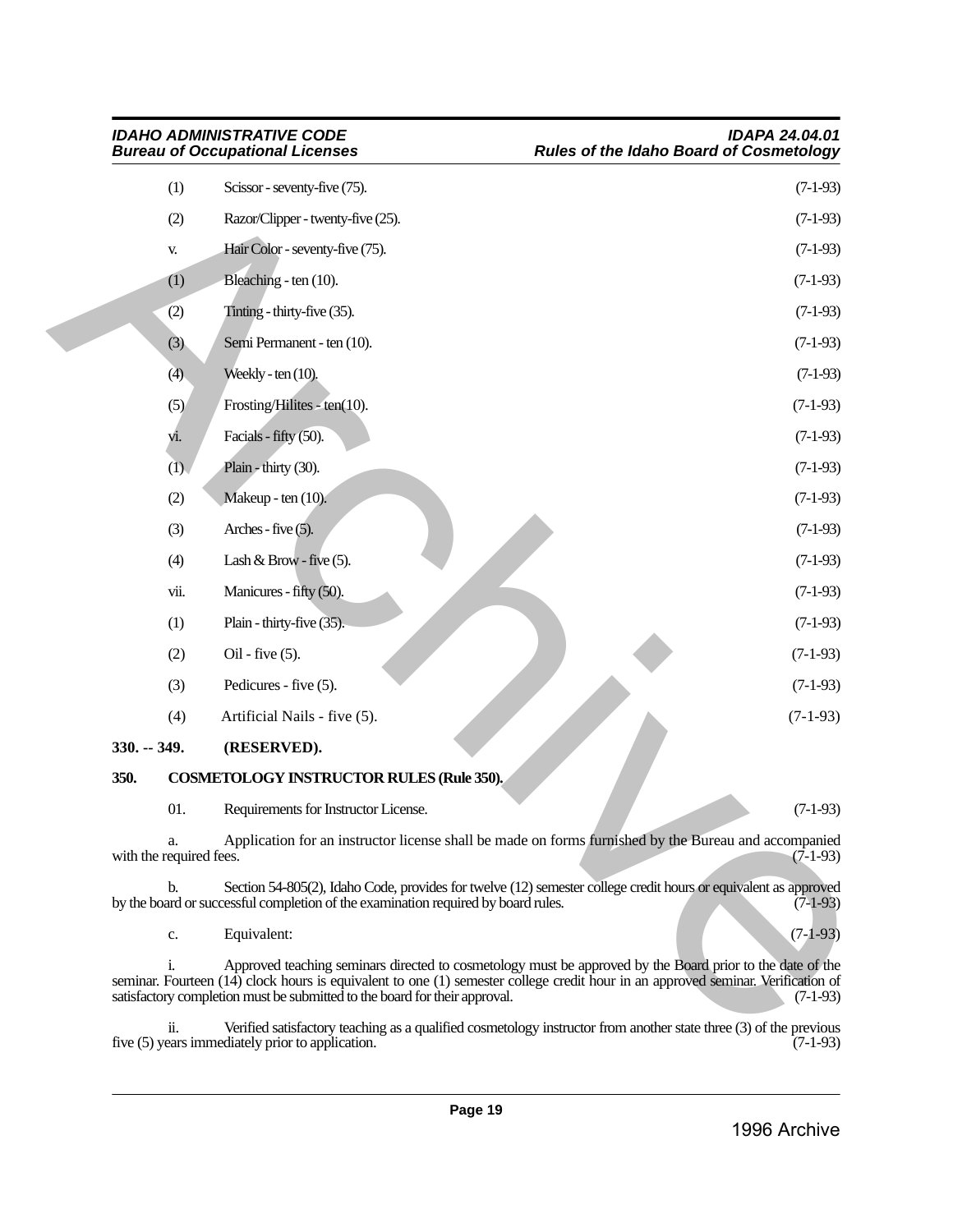|                         |      | <b>IDAHO ADMINISTRATIVE CODE</b><br><b>Bureau of Occupational Licenses</b>        | <b>IDAPA 24.04.01</b><br><b>Rules of the Idaho Board of Cosmetology</b>                                                                                                                                                                                     |
|-------------------------|------|-----------------------------------------------------------------------------------|-------------------------------------------------------------------------------------------------------------------------------------------------------------------------------------------------------------------------------------------------------------|
|                         | (1)  | Scissor - seventy-five (75).                                                      | $(7-1-93)$                                                                                                                                                                                                                                                  |
|                         | (2)  | Razor/Clipper - twenty-five (25).                                                 | $(7-1-93)$                                                                                                                                                                                                                                                  |
|                         | V.   | Hair Color - seventy-five (75).                                                   | $(7-1-93)$                                                                                                                                                                                                                                                  |
|                         | (1)  | Bleaching - ten (10).                                                             | $(7-1-93)$                                                                                                                                                                                                                                                  |
|                         | (2)  | Tinting - thirty-five (35).                                                       | $(7-1-93)$                                                                                                                                                                                                                                                  |
|                         | (3)  | Semi Permanent - ten (10).                                                        | $(7-1-93)$                                                                                                                                                                                                                                                  |
|                         | (4)  | Weekly - ten $(10)$ .                                                             | $(7-1-93)$                                                                                                                                                                                                                                                  |
|                         | (5)  | Frosting/Hilites - ten $(10)$ .                                                   | $(7-1-93)$                                                                                                                                                                                                                                                  |
|                         | vi.  | Facials - fifty (50).                                                             | $(7-1-93)$                                                                                                                                                                                                                                                  |
|                         | (D)  | Plain - thirty (30).                                                              | $(7-1-93)$                                                                                                                                                                                                                                                  |
|                         | (2)  | Makeup - ten (10).                                                                | $(7-1-93)$                                                                                                                                                                                                                                                  |
|                         | (3)  | Arches - five $(5)$ .                                                             | $(7-1-93)$                                                                                                                                                                                                                                                  |
|                         | (4)  | Lash & Brow - five $(5)$ .                                                        | $(7-1-93)$                                                                                                                                                                                                                                                  |
|                         | vii. | Manicures - fifty (50).                                                           | $(7-1-93)$                                                                                                                                                                                                                                                  |
|                         | (1)  | Plain - thirty-five (35).                                                         | $(7-1-93)$                                                                                                                                                                                                                                                  |
|                         | (2)  | $Oil - five (5).$                                                                 | $(7-1-93)$                                                                                                                                                                                                                                                  |
|                         | (3)  | Pedicures - five (5).                                                             | $(7-1-93)$                                                                                                                                                                                                                                                  |
|                         | (4)  | Artificial Nails - five (5).                                                      | $(7-1-93)$                                                                                                                                                                                                                                                  |
| $330. - 349.$           |      | (RESERVED).                                                                       |                                                                                                                                                                                                                                                             |
| 350.                    |      | <b>COSMETOLOGY INSTRUCTOR RULES (Rule 350).</b>                                   |                                                                                                                                                                                                                                                             |
|                         | 01.  | Requirements for Instructor License.                                              | $(7-1-93)$                                                                                                                                                                                                                                                  |
| with the required fees. | a.   |                                                                                   | Application for an instructor license shall be made on forms furnished by the Bureau and accompanied<br>$(7-1-93)$                                                                                                                                          |
| b.                      |      | by the board or successful completion of the examination required by board rules. | Section 54-805(2), Idaho Code, provides for twelve (12) semester college credit hours or equivalent as approved<br>$(7-1-93)$                                                                                                                               |
|                         | c.   | Equivalent:                                                                       | $(7-1-93)$                                                                                                                                                                                                                                                  |
|                         | i.   | satisfactory completion must be submitted to the board for their approval.        | Approved teaching seminars directed to cosmetology must be approved by the Board prior to the date of the<br>seminar. Fourteen (14) clock hours is equivalent to one (1) semester college credit hour in an approved seminar. Verification of<br>$(7-1-93)$ |
|                         | ii.  |                                                                                   | Verified satisfactory teaching as a qualified cosmetology instructor from another state three (3) of the previous                                                                                                                                           |

<span id="page-18-1"></span><span id="page-18-0"></span>ii. Verified satisfactory teaching as a qualified cosmetology instructor from another state three (3) of the previous five (5) years immediately prior to application. (7-1-93)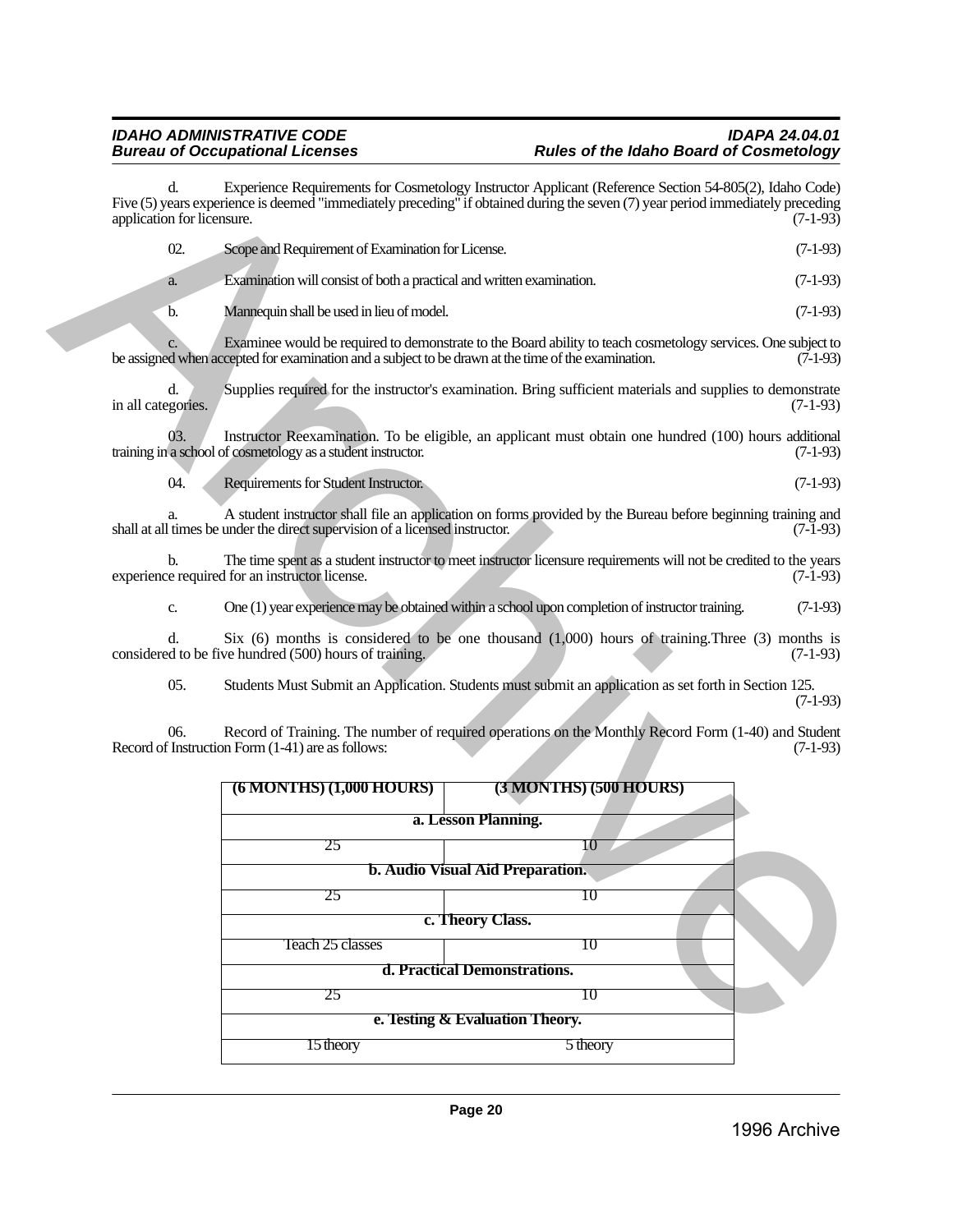d. Experience Requirements for Cosmetology Instructor Applicant (Reference Section 54-805(2), Idaho Code) Five (5) years experience is deemed "immediately preceding" if obtained during the seven (7) year period immediately preceding application for licensure. (7-1-93) application for licensure. 02. Scope and Requirement of Examination for License. (7-1-93) a. Examination will consist of both a practical and written examination. (7-1-93) b. Mannequin shall be used in lieu of model. (7-1-93) Examinee would be required to demonstrate to the Board ability to teach cosmetology services. One subject to cepted for examination and a subject to be drawn at the time of the examination. (7-1-93) be assigned when accepted for examination and a subject to be drawn at the time of the examination. Supplies required for the instructor's examination. Bring sufficient materials and supplies to demonstrate in all categories. (7-1-93) 03. Instructor Reexamination. To be eligible, an applicant must obtain one hundred (100) hours additional a school of cosmetology as a student instructor.  $(7-1-93)$ training in a school of cosmetology as a student instructor. 04. Requirements for Student Instructor. (7-1-93) a. A student instructor shall file an application on forms provided by the Bureau before beginning training and shall at all times be under the direct supervision of a licensed instructor. b. The time spent as a student instructor to meet instructor licensure requirements will not be credited to the years e required for an instructor license. experience required for an instructor license. c. One (1) year experience may be obtained within a school upon completion of instructor training. (7-1-93) d. Six (6) months is considered to be one thousand  $(1,000)$  hours of training. Three (3) months is d to be five hundred (500) hours of training. considered to be five hundred (500) hours of training. 05. Students Must Submit an Application. Students must submit an application as set forth in Section 125. (7-1-93) 06. Record of Training. The number of required operations on the Monthly Record Form (1-40) and Student (Instruction Form (1-41) are as follows: Record of Instruction Form  $(1-41)$  are as follows: **(6 MONTHS) (1,000 HOURS) (3 MONTHS) (500 HOURS) a. Lesson Planning.** 25  $10$ **b. Audio Visual Aid Preparation.** 25  $\vert$  10 **c. Theory Class.** Teach 25 classes 10 **d. Practical Demonstrations.**  $25$  10 **e. Testing & Evaluation Theory.** Five 3) shows respectively the<br>control three distributions for Control of the Control of The Control of the<br>simulation of The Control of the Control of the Control of the Control of the Control of the<br>simulation of Domini

15 theory 5 theory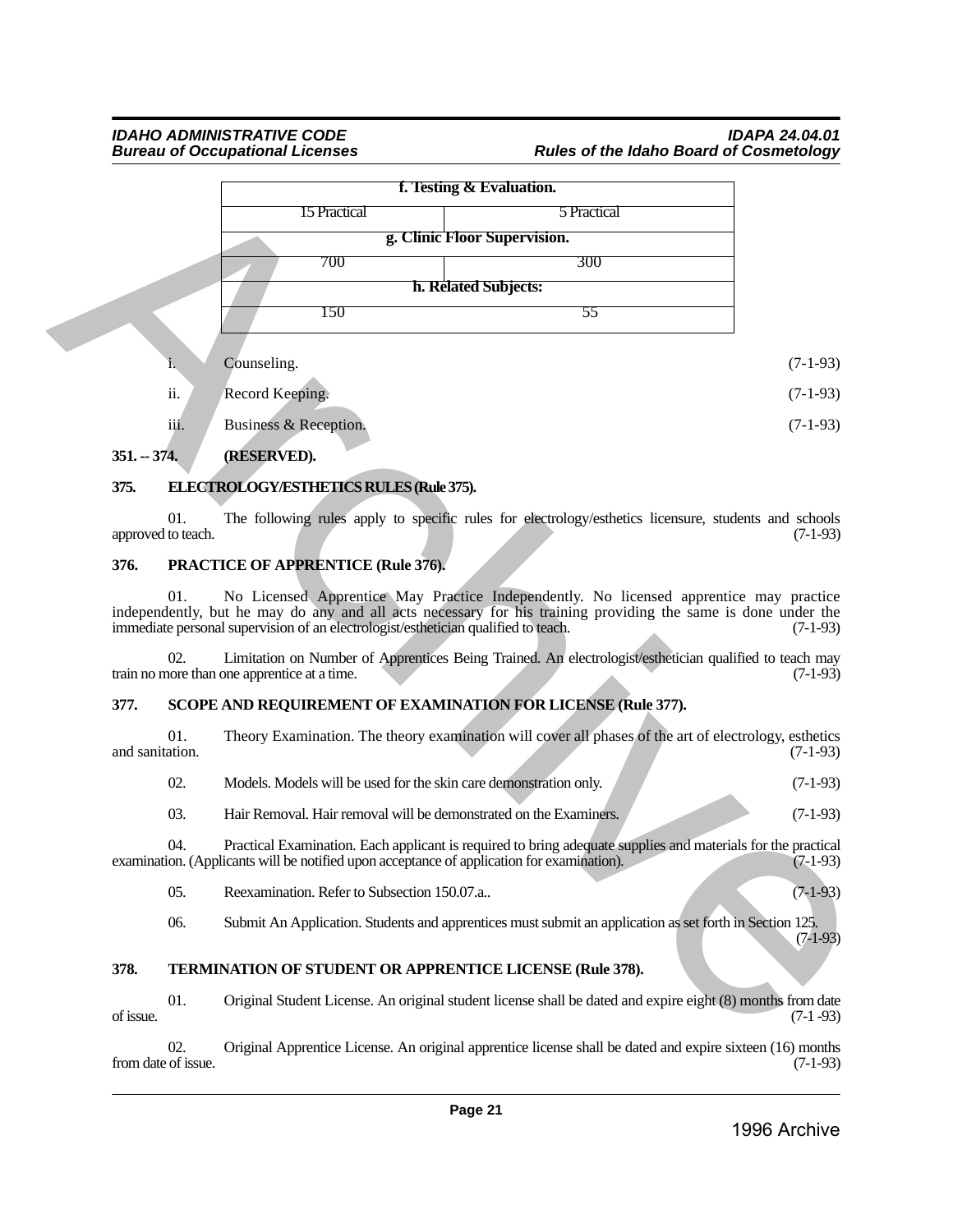### *IDAHO ADMINISTRATIVE CODE IDAPA 24.04.01* **Rules of the Idaho Board of Cosmetology**

|                 |                           | f. Testing & Evaluation.                                                                   |                                                                                                                                                                                                         |            |
|-----------------|---------------------------|--------------------------------------------------------------------------------------------|---------------------------------------------------------------------------------------------------------------------------------------------------------------------------------------------------------|------------|
|                 |                           | 15 Practical                                                                               | 5 Practical                                                                                                                                                                                             |            |
|                 |                           |                                                                                            |                                                                                                                                                                                                         |            |
|                 |                           | 700                                                                                        | 300                                                                                                                                                                                                     |            |
|                 |                           |                                                                                            | h. Related Subjects:                                                                                                                                                                                    |            |
|                 |                           | 150                                                                                        | 55                                                                                                                                                                                                      |            |
|                 | i.                        | Counseling.                                                                                |                                                                                                                                                                                                         | $(7-1-93)$ |
|                 | ii.                       | Record Keeping.                                                                            |                                                                                                                                                                                                         | $(7-1-93)$ |
|                 | iii.                      | Business & Reception.                                                                      |                                                                                                                                                                                                         | $(7-1-93)$ |
| $351 - 374$ .   |                           | (RESERVED).                                                                                |                                                                                                                                                                                                         |            |
| 375.            |                           | ELECTROLOGY/ESTHETICS RULES (Rule 375).                                                    |                                                                                                                                                                                                         |            |
|                 | 01.<br>approved to teach. |                                                                                            | The following rules apply to specific rules for electrology/esthetics licensure, students and schools                                                                                                   | $(7-1-93)$ |
| 376.            |                           | <b>PRACTICE OF APPRENTICE (Rule 376).</b>                                                  |                                                                                                                                                                                                         |            |
|                 | 01.                       | immediate personal supervision of an electrologist/esthetician qualified to teach.         | No Licensed Apprentice May Practice Independently. No licensed apprentice may practice<br>independently, but he may do any and all acts necessary for his training providing the same is done under the | $(7-1-93)$ |
|                 | 02.                       | train no more than one apprentice at a time.                                               | Limitation on Number of Apprentices Being Trained. An electrologist/esthetician qualified to teach may                                                                                                  | $(7-1-93)$ |
| 377.            |                           |                                                                                            | SCOPE AND REQUIREMENT OF EXAMINATION FOR LICENSE (Rule 377).                                                                                                                                            |            |
| and sanitation. | 01.                       |                                                                                            | Theory Examination. The theory examination will cover all phases of the art of electrology, esthetics                                                                                                   | $(7-1-93)$ |
|                 | 02.                       | Models. Models will be used for the skin care demonstration only.                          |                                                                                                                                                                                                         | $(7-1-93)$ |
|                 | 03.                       | Hair Removal. Hair removal will be demonstrated on the Examiners.                          |                                                                                                                                                                                                         | $(7-1-93)$ |
|                 | 04.                       | examination. (Applicants will be notified upon acceptance of application for examination). | Practical Examination. Each applicant is required to bring adequate supplies and materials for the practical                                                                                            | $(7-1-93)$ |
|                 | 05.                       | Reexamination. Refer to Subsection 150.07.a                                                |                                                                                                                                                                                                         | $(7-1-93)$ |
|                 | 06.                       |                                                                                            | Submit An Application. Students and apprentices must submit an application as set forth in Section 125.                                                                                                 | $(7-1-93)$ |
| 378.            |                           | TERMINATION OF STUDENT OR APPRENTICE LICENSE (Rule 378).                                   |                                                                                                                                                                                                         |            |
| of issue.       | 01.                       |                                                                                            | Original Student License. An original student license shall be dated and expire eight (8) months from date                                                                                              | $(7-1-93)$ |

- i. Counseling.  $(7-1-93)$
- ii. Record Keeping. (7-1-93)
- iii. Business & Reception. (7-1-93)

### <span id="page-20-0"></span>**351. -- 374. (RESERVED).**

### <span id="page-20-1"></span>**375. ELECTROLOGY/ESTHETICS RULES (Rule 375).**

#### <span id="page-20-2"></span>**376. PRACTICE OF APPRENTICE (Rule 376).**

#### <span id="page-20-3"></span>**377. SCOPE AND REQUIREMENT OF EXAMINATION FOR LICENSE (Rule 377).**

| and sanitation. | Theory Examination. The theory examination will cover all phases of the art of electrology, esthetics | $(7-1-93)$ |
|-----------------|-------------------------------------------------------------------------------------------------------|------------|
|                 | Models. Models will be used for the skin care demonstration only.                                     | $(7-1-93)$ |

#### <span id="page-20-4"></span>**378. TERMINATION OF STUDENT OR APPRENTICE LICENSE (Rule 378).**

02. Original Apprentice License. An original apprentice license shall be dated and expire sixteen (16) months from date of issue. (7-1-93)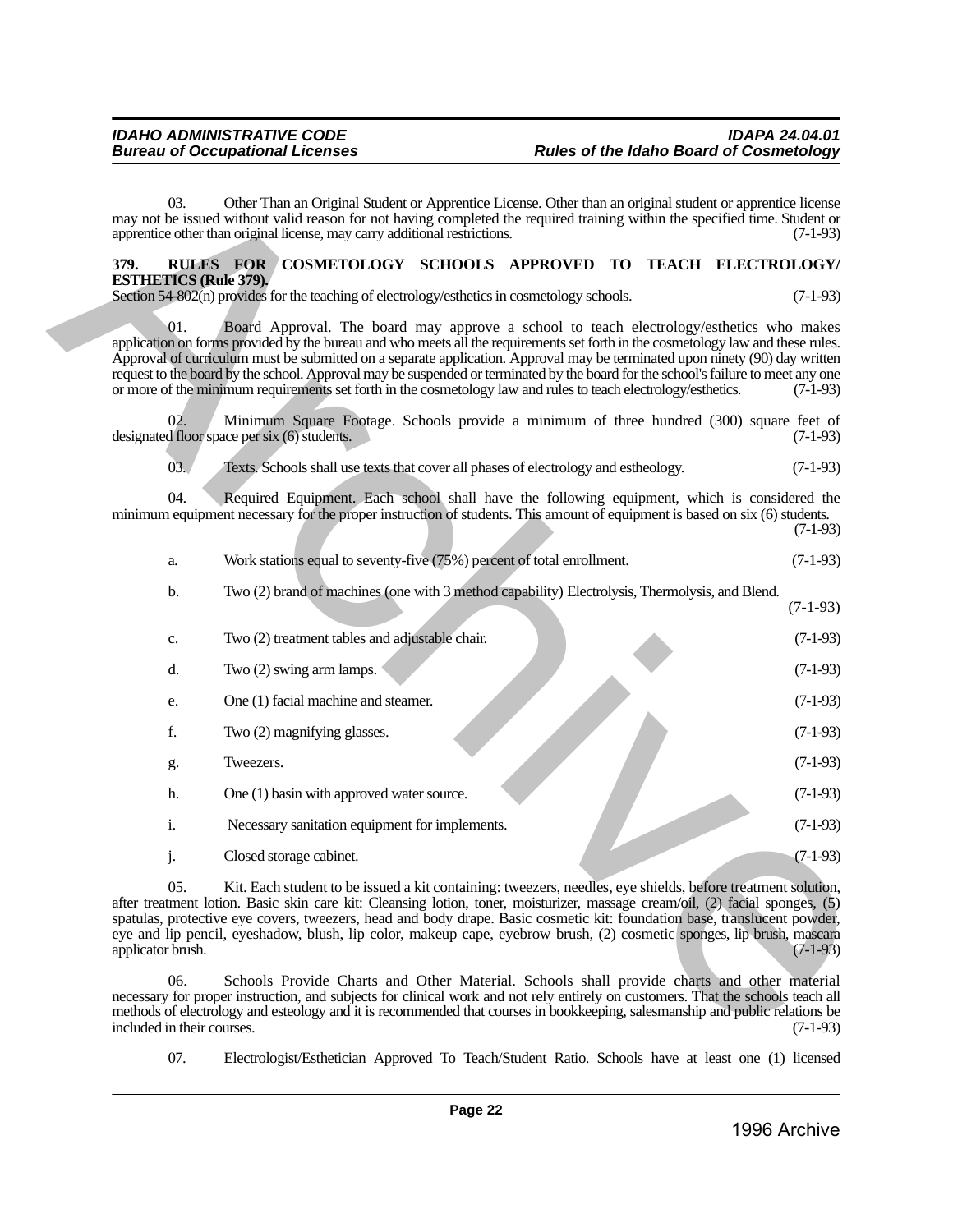#### <span id="page-21-0"></span>**379. RULES FOR COSMETOLOGY SCHOOLS APPROVED TO TEACH ELECTROLOGY/ ESTHETICS (Rule 379).**

| 03.                               | Other Than an Original Student or Apprentice License. Other than an original student or apprentice license<br>may not be issued without valid reason for not having completed the required training within the specified time. Student or<br>apprentice other than original license, may carry additional restrictions.                                                                                                                                                                                                                                                                                           |  | $(7-1-93)$ |
|-----------------------------------|-------------------------------------------------------------------------------------------------------------------------------------------------------------------------------------------------------------------------------------------------------------------------------------------------------------------------------------------------------------------------------------------------------------------------------------------------------------------------------------------------------------------------------------------------------------------------------------------------------------------|--|------------|
| 379.                              | RULES FOR COSMETOLOGY SCHOOLS APPROVED TO TEACH ELECTROLOGY/                                                                                                                                                                                                                                                                                                                                                                                                                                                                                                                                                      |  |            |
| <b>ESTHETICS (Rule 379).</b>      | Section 54-802(n) provides for the teaching of electrology/esthetics in cosmetology schools.                                                                                                                                                                                                                                                                                                                                                                                                                                                                                                                      |  | $(7-1-93)$ |
|                                   |                                                                                                                                                                                                                                                                                                                                                                                                                                                                                                                                                                                                                   |  |            |
| 01.                               | Board Approval. The board may approve a school to teach electrology/esthetics who makes<br>application on forms provided by the bureau and who meets all the requirements set forth in the cosmetology law and these rules.<br>Approval of curriculum must be submitted on a separate application. Approval may be terminated upon ninety (90) day written<br>request to the board by the school. Approval may be suspended or terminated by the board for the school's failure to meet any one<br>or more of the minimum requirements set forth in the cosmetology law and rules to teach electrology/esthetics. |  | $(7-1-93)$ |
| 02.                               | Minimum Square Footage. Schools provide a minimum of three hundred (300) square feet of<br>designated floor space per six (6) students.                                                                                                                                                                                                                                                                                                                                                                                                                                                                           |  | $(7-1-93)$ |
| 03.                               | Texts. Schools shall use texts that cover all phases of electrology and estheology.                                                                                                                                                                                                                                                                                                                                                                                                                                                                                                                               |  | $(7-1-93)$ |
| 04.                               | Required Equipment. Each school shall have the following equipment, which is considered the<br>minimum equipment necessary for the proper instruction of students. This amount of equipment is based on six (6) students.                                                                                                                                                                                                                                                                                                                                                                                         |  | $(7-1-93)$ |
| a.                                | Work stations equal to seventy-five (75%) percent of total enrollment.                                                                                                                                                                                                                                                                                                                                                                                                                                                                                                                                            |  | $(7-1-93)$ |
| b.                                | Two (2) brand of machines (one with 3 method capability) Electrolysis, Thermolysis, and Blend.                                                                                                                                                                                                                                                                                                                                                                                                                                                                                                                    |  | $(7-1-93)$ |
| $\mathbf{c}.$                     | Two (2) treatment tables and adjustable chair.                                                                                                                                                                                                                                                                                                                                                                                                                                                                                                                                                                    |  | $(7-1-93)$ |
| d.                                | Two (2) swing arm lamps.                                                                                                                                                                                                                                                                                                                                                                                                                                                                                                                                                                                          |  | $(7-1-93)$ |
| e.                                | One (1) facial machine and steamer.                                                                                                                                                                                                                                                                                                                                                                                                                                                                                                                                                                               |  | $(7-1-93)$ |
| f.                                | Two (2) magnifying glasses.                                                                                                                                                                                                                                                                                                                                                                                                                                                                                                                                                                                       |  | $(7-1-93)$ |
| g.                                | Tweezers.                                                                                                                                                                                                                                                                                                                                                                                                                                                                                                                                                                                                         |  | $(7-1-93)$ |
| h.                                | One (1) basin with approved water source.                                                                                                                                                                                                                                                                                                                                                                                                                                                                                                                                                                         |  | $(7-1-93)$ |
| $\mathbf{i}$ .                    | Necessary sanitation equipment for implements.                                                                                                                                                                                                                                                                                                                                                                                                                                                                                                                                                                    |  | $(7-1-93)$ |
| j.                                | Closed storage cabinet.                                                                                                                                                                                                                                                                                                                                                                                                                                                                                                                                                                                           |  | $(7-1-93)$ |
| 05.<br>applicator brush.          | Kit. Each student to be issued a kit containing: tweezers, needles, eye shields, before treatment solution,<br>after treatment lotion. Basic skin care kit: Cleansing lotion, toner, moisturizer, massage cream/oil, (2) facial sponges, (5)<br>spatulas, protective eye covers, tweezers, head and body drape. Basic cosmetic kit: foundation base, translucent powder,<br>eye and lip pencil, eyeshadow, blush, lip color, makeup cape, eyebrow brush, (2) cosmetic sponges, lip brush, mascara                                                                                                                 |  | $(7-1-93)$ |
| 06.<br>included in their courses. | Schools Provide Charts and Other Material. Schools shall provide charts and other material<br>necessary for proper instruction, and subjects for clinical work and not rely entirely on customers. That the schools teach all<br>methods of electrology and esteology and it is recommended that courses in bookkeeping, salesmanship and public relations be                                                                                                                                                                                                                                                     |  | $(7-1-93)$ |

07. Electrologist/Esthetician Approved To Teach/Student Ratio. Schools have at least one (1) licensed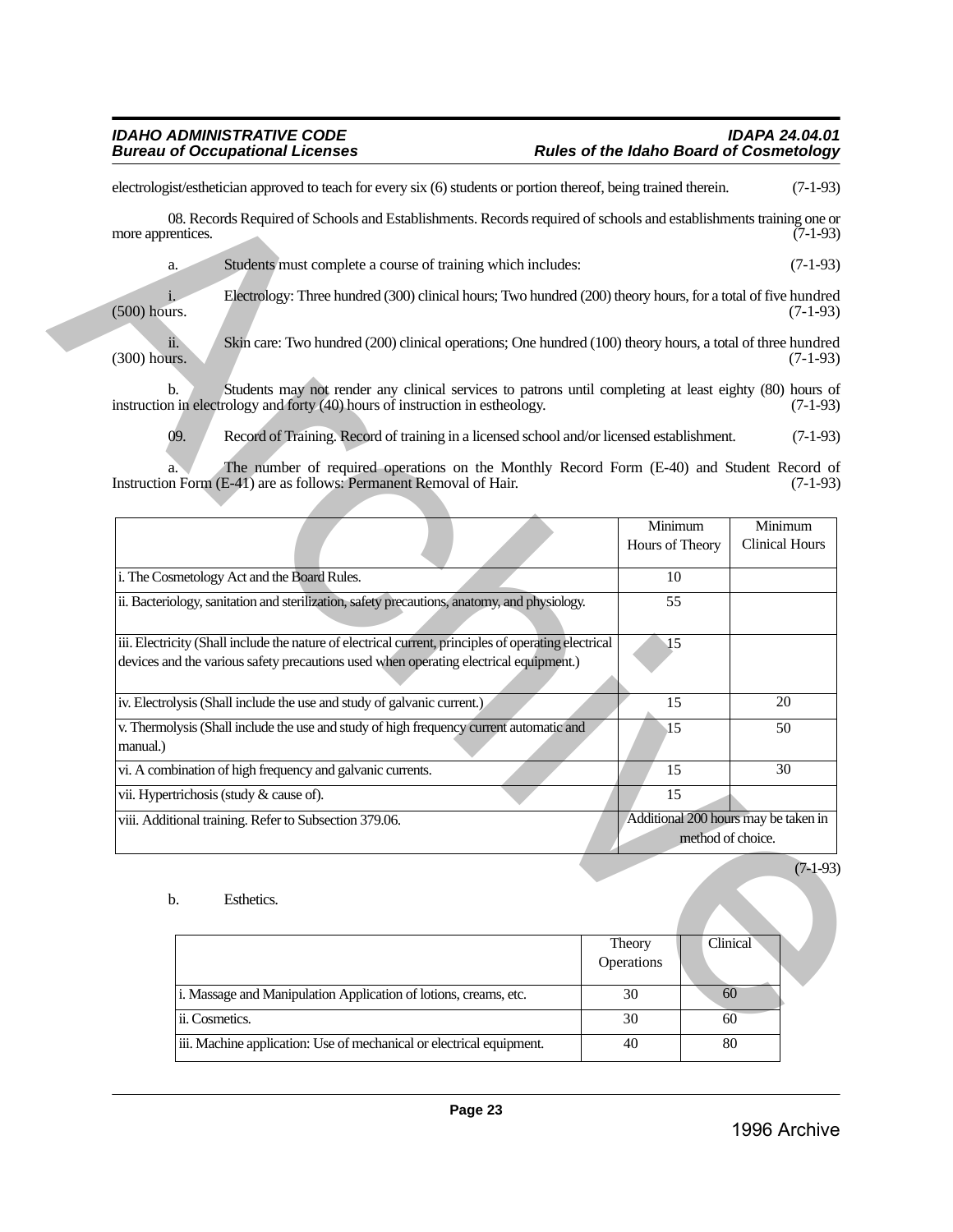|                   | electrologist/esthetician approved to teach for every six (6) students or portion thereof, being trained therein.                                                                              |                            |                                                           | $(7-1-93)$                       |
|-------------------|------------------------------------------------------------------------------------------------------------------------------------------------------------------------------------------------|----------------------------|-----------------------------------------------------------|----------------------------------|
| more apprentices. | 08. Records Required of Schools and Establishments. Records required of schools and establishments training one or                                                                             |                            |                                                           | $(7-1-93)$                       |
|                   | Students must complete a course of training which includes:<br>a.                                                                                                                              |                            |                                                           | $(7-1-93)$                       |
| $(500)$ hours.    | Electrology: Three hundred (300) clinical hours; Two hundred (200) theory hours, for a total of five hundred                                                                                   |                            |                                                           | $(7-1-93)$                       |
| (300) hours.      | Skin care: Two hundred (200) clinical operations; One hundred (100) theory hours, a total of three hundred<br>$\overline{\mathbf{11}}$ .                                                       |                            |                                                           | $(7-1-93)$                       |
|                   | Students may not render any clinical services to patrons until completing at least eighty (80) hours of<br>b.<br>instruction in electrology and forty (40) hours of instruction in estheology. |                            |                                                           | $(7-1-93)$                       |
|                   | 09.<br>Record of Training. Record of training in a licensed school and/or licensed establishment.                                                                                              |                            |                                                           | $(7-1-93)$                       |
|                   | The number of required operations on the Monthly Record Form (E-40) and Student Record of<br>Instruction Form (E-41) are as follows: Permanent Removal of Hair.                                |                            |                                                           | $(7-1-93)$                       |
|                   |                                                                                                                                                                                                | Minimum<br>Hours of Theory |                                                           | Minimum<br><b>Clinical Hours</b> |
|                   | i. The Cosmetology Act and the Board Rules.                                                                                                                                                    | 10                         |                                                           |                                  |
|                   | ii. Bacteriology, sanitation and sterilization, safety precautions, anatomy, and physiology.                                                                                                   | 55                         |                                                           |                                  |
|                   | iii. Electricity (Shall include the nature of electrical current, principles of operating electrical                                                                                           | 15                         |                                                           |                                  |
|                   | devices and the various safety precautions used when operating electrical equipment.)                                                                                                          |                            |                                                           |                                  |
|                   | iv. Electrolysis (Shall include the use and study of galvanic current.)                                                                                                                        | 15                         |                                                           | 20                               |
| manual.)          | v. Thermolysis (Shall include the use and study of high frequency current automatic and                                                                                                        | 15                         |                                                           | 50                               |
|                   | vi. A combination of high frequency and galvanic currents.                                                                                                                                     | 15                         |                                                           | $\overline{30}$                  |
|                   | vii. Hypertrichosis (study & cause of).                                                                                                                                                        | 15                         |                                                           |                                  |
|                   | viii. Additional training. Refer to Subsection 379.06.                                                                                                                                         |                            | Additional 200 hours may be taken in<br>method of choice. |                                  |
|                   |                                                                                                                                                                                                |                            |                                                           | $(7-1-93)$                       |
|                   | $\mathbf b$ .<br>Esthetics.                                                                                                                                                                    |                            |                                                           |                                  |
|                   |                                                                                                                                                                                                | Theory<br>Operations       | Clinical                                                  |                                  |
|                   | i. Massage and Manipulation Application of lotions, creams, etc.                                                                                                                               | 30                         | 60                                                        |                                  |
|                   | ii. Cosmetics.                                                                                                                                                                                 | 30                         | 60                                                        |                                  |
|                   |                                                                                                                                                                                                |                            |                                                           |                                  |

| Esthetics.                                                           |                      |          | (/-1-> |
|----------------------------------------------------------------------|----------------------|----------|--------|
|                                                                      | Theory<br>Operations | Clinical |        |
| i. Massage and Manipulation Application of lotions, creams, etc.     | 30                   | 60       |        |
| ii. Cosmetics.                                                       | 30                   | 60       |        |
| iii. Machine application: Use of mechanical or electrical equipment. | 40                   | 80       |        |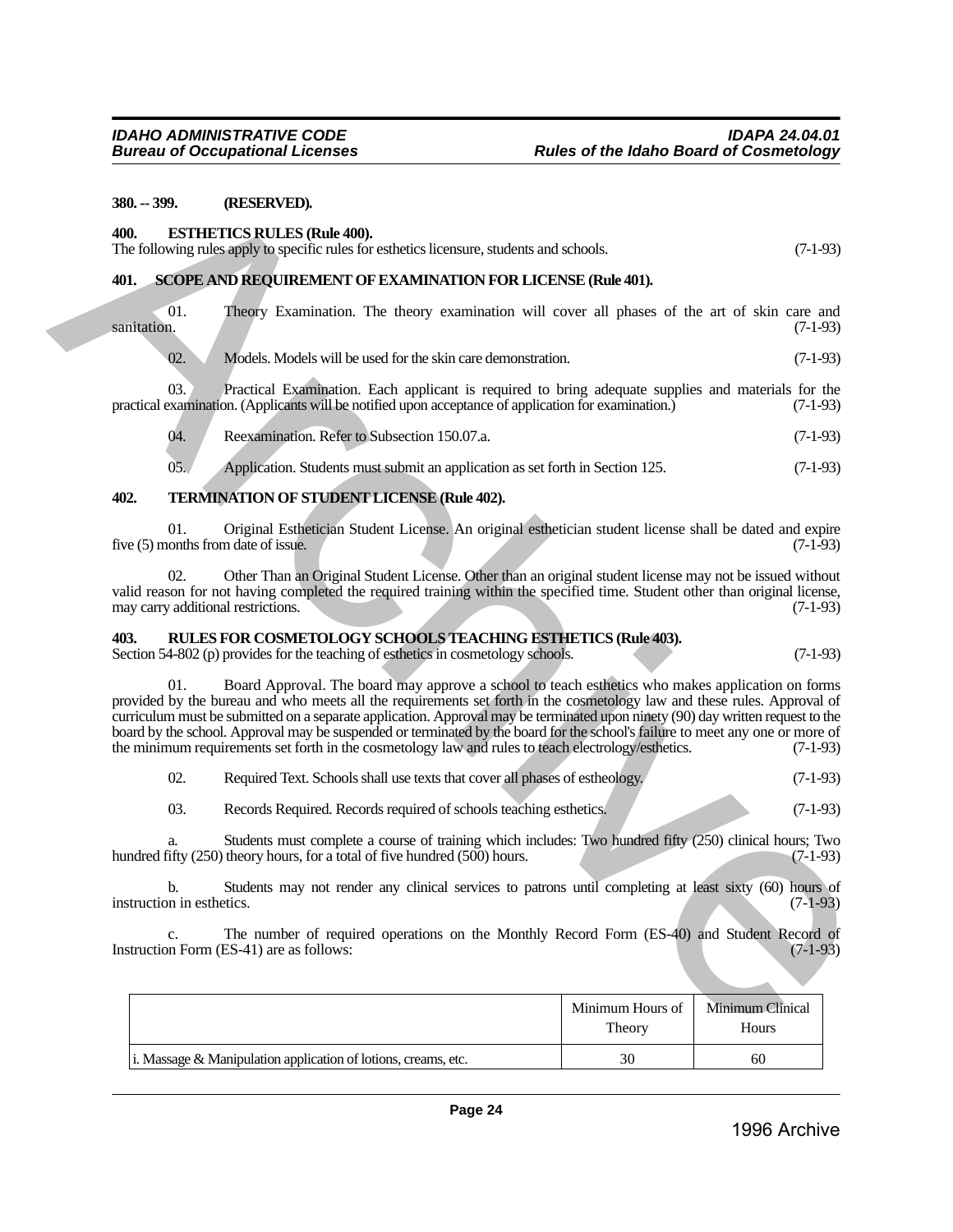#### <span id="page-23-0"></span>**380. -- 399. (RESERVED).**

#### <span id="page-23-1"></span>**400. ESTHETICS RULES (Rule 400).** The following rules apply to specific rules for esthetics licensure, students and schools.  $(7-1-93)$

| $380 - 399$ .                              | (RESERVED).                                                                                                                                                                                                                                                                                                                                                                                                                                                                                                                                                                                           |                            |                           |
|--------------------------------------------|-------------------------------------------------------------------------------------------------------------------------------------------------------------------------------------------------------------------------------------------------------------------------------------------------------------------------------------------------------------------------------------------------------------------------------------------------------------------------------------------------------------------------------------------------------------------------------------------------------|----------------------------|---------------------------|
| 400.                                       | <b>ESTHETICS RULES (Rule 400).</b><br>The following rules apply to specific rules for esthetics licensure, students and schools.                                                                                                                                                                                                                                                                                                                                                                                                                                                                      |                            | $(7-1-93)$                |
| 401.                                       | SCOPE AND REQUIREMENT OF EXAMINATION FOR LICENSE (Rule 401).                                                                                                                                                                                                                                                                                                                                                                                                                                                                                                                                          |                            |                           |
| $\overline{01}$ .<br>sanitation.           | Theory Examination. The theory examination will cover all phases of the art of skin care and                                                                                                                                                                                                                                                                                                                                                                                                                                                                                                          |                            | $(7-1-93)$                |
| 02.                                        | Models. Models will be used for the skin care demonstration.                                                                                                                                                                                                                                                                                                                                                                                                                                                                                                                                          |                            | $(7-1-93)$                |
| 03.                                        | Practical Examination. Each applicant is required to bring adequate supplies and materials for the<br>practical examination. (Applicants will be notified upon acceptance of application for examination.)                                                                                                                                                                                                                                                                                                                                                                                            |                            | $(7-1-93)$                |
| 04.                                        | Reexamination. Refer to Subsection 150.07.a.                                                                                                                                                                                                                                                                                                                                                                                                                                                                                                                                                          |                            | $(7-1-93)$                |
| 05.                                        | Application. Students must submit an application as set forth in Section 125.                                                                                                                                                                                                                                                                                                                                                                                                                                                                                                                         |                            | $(7-1-93)$                |
| 402.                                       | <b>TERMINATION OF STUDENT LICENSE (Rule 402).</b>                                                                                                                                                                                                                                                                                                                                                                                                                                                                                                                                                     |                            |                           |
| 01.<br>five (5) months from date of issue. | Original Esthetician Student License. An original esthetician student license shall be dated and expire                                                                                                                                                                                                                                                                                                                                                                                                                                                                                               |                            | $(7-1-93)$                |
| 02.<br>may carry additional restrictions.  | Other Than an Original Student License. Other than an original student license may not be issued without<br>valid reason for not having completed the required training within the specified time. Student other than original license,                                                                                                                                                                                                                                                                                                                                                               |                            | $(7-1-93)$                |
| 403.                                       | RULES FOR COSMETOLOGY SCHOOLS TEACHING ESTHETICS (Rule 403).<br>Section 54-802 (p) provides for the teaching of esthetics in cosmetology schools.                                                                                                                                                                                                                                                                                                                                                                                                                                                     |                            | $(7-1-93)$                |
| 01.                                        | Board Approval. The board may approve a school to teach esthetics who makes application on forms<br>provided by the bureau and who meets all the requirements set forth in the cosmetology law and these rules. Approval of<br>curriculum must be submitted on a separate application. Approval may be terminated upon ninety (90) day written request to the<br>board by the school. Approval may be suspended or terminated by the board for the school's failure to meet any one or more of<br>the minimum requirements set forth in the cosmetology law and rules to teach electrology/esthetics. |                            | $(7-1-93)$                |
| 02.                                        | Required Text. Schools shall use texts that cover all phases of estheology.                                                                                                                                                                                                                                                                                                                                                                                                                                                                                                                           |                            | $(7-1-93)$                |
| 03.                                        | Records Required. Records required of schools teaching esthetics.                                                                                                                                                                                                                                                                                                                                                                                                                                                                                                                                     |                            | $(7-1-93)$                |
| a.                                         | Students must complete a course of training which includes: Two hundred fifty (250) clinical hours; Two<br>hundred fifty (250) theory hours, for a total of five hundred (500) hours.                                                                                                                                                                                                                                                                                                                                                                                                                 |                            | $(7-1-93)$                |
| b.<br>instruction in esthetics.            | Students may not render any clinical services to patrons until completing at least sixty (60) hours of                                                                                                                                                                                                                                                                                                                                                                                                                                                                                                |                            | $(7-1-93)$                |
| c.                                         | The number of required operations on the Monthly Record Form (ES-40) and Student Record of<br>Instruction Form (ES-41) are as follows:                                                                                                                                                                                                                                                                                                                                                                                                                                                                |                            | $(7-1-93)$                |
|                                            |                                                                                                                                                                                                                                                                                                                                                                                                                                                                                                                                                                                                       | Minimum Hours of<br>Theory | Minimum Clinical<br>Hours |

#### <span id="page-23-3"></span><span id="page-23-2"></span>**403. RULES FOR COSMETOLOGY SCHOOLS TEACHING ESTHETICS (Rule 403).**

| 02. | Required Text. Schools shall use texts that cover all phases of estheology. |  |  | $(7-1-93)$ |
|-----|-----------------------------------------------------------------------------|--|--|------------|
|-----|-----------------------------------------------------------------------------|--|--|------------|

|                                                                   | Minimum Hours of<br>Theory | Minimum Clinical<br>Hours |
|-------------------------------------------------------------------|----------------------------|---------------------------|
| i. Massage $\&$ Manipulation application of lotions, creams, etc. | 30                         | 60                        |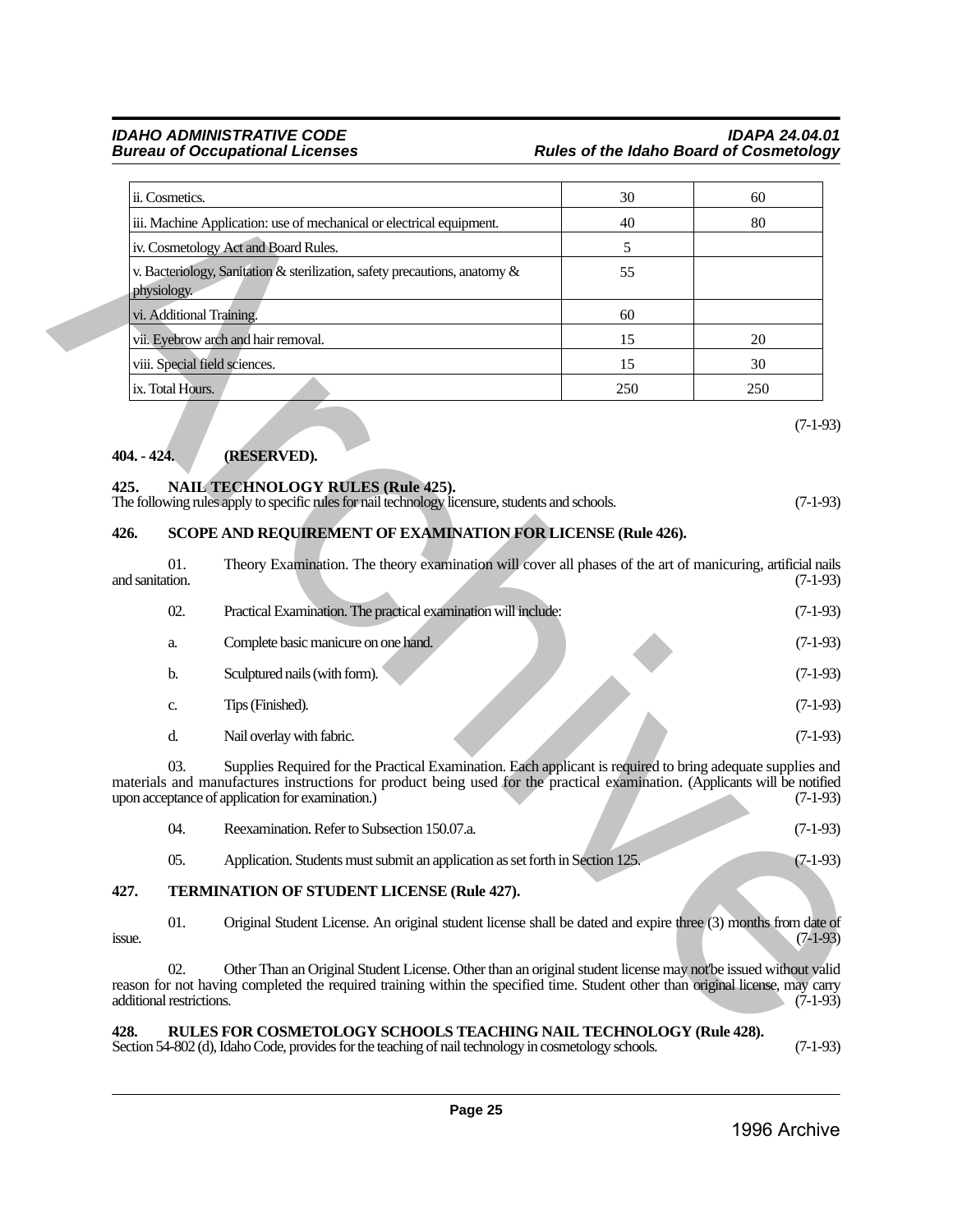#### *IDAHO ADMINISTRATIVE CODE IDAPA 24.04.01* **Rules of the Idaho Board of Cosmetology**

| ii. Cosmetics.                                                                            | 30  | 60  |
|-------------------------------------------------------------------------------------------|-----|-----|
| iii. Machine Application: use of mechanical or electrical equipment.                      | 40  | 80  |
| iv. Cosmetology Act and Board Rules.                                                      | 5   |     |
| v. Bacteriology, Sanitation & sterilization, safety precautions, anatomy &<br>physiology. | 55  |     |
| vi. Additional Training.                                                                  | 60  |     |
| vii. Eyebrow arch and hair removal.                                                       | 15  | 20  |
| viii. Special field sciences.                                                             | 15  | 30  |
| ix. Total Hours.                                                                          | 250 | 250 |

### <span id="page-24-0"></span>**404. - 424. (RESERVED).**

#### <span id="page-24-1"></span>**425. NAIL TECHNOLOGY RULES (Rule 425).**

| The following rules apply to specific rules for nail technology licensure, students and schools. |  | $(7-1-93)$ |
|--------------------------------------------------------------------------------------------------|--|------------|
|                                                                                                  |  |            |

### <span id="page-24-2"></span>**426. SCOPE AND REQUIREMENT OF EXAMINATION FOR LICENSE (Rule 426).**

|                          | ii. Cosmetics.   |                                                                                                                                                                                                                                                                                              | 30  | 60         |
|--------------------------|------------------|----------------------------------------------------------------------------------------------------------------------------------------------------------------------------------------------------------------------------------------------------------------------------------------------|-----|------------|
|                          |                  | iii. Machine Application: use of mechanical or electrical equipment.                                                                                                                                                                                                                         | 40  | 80         |
|                          |                  | iv. Cosmetology Act and Board Rules.                                                                                                                                                                                                                                                         | 5   |            |
| physiology.              |                  | v. Bacteriology, Sanitation & sterilization, safety precautions, anatomy &                                                                                                                                                                                                                   | 55  |            |
|                          |                  | vi. Additional Training.                                                                                                                                                                                                                                                                     | 60  |            |
|                          |                  | vii. Eyebrow arch and hair removal.                                                                                                                                                                                                                                                          | 15  | 20         |
|                          |                  | viii. Special field sciences.                                                                                                                                                                                                                                                                | 15  | 30         |
|                          | ix. Total Hours. |                                                                                                                                                                                                                                                                                              | 250 | 250        |
| 404. - 424.<br>425.      |                  | (RESERVED).<br><b>NAIL TECHNOLOGY RULES (Rule 425).</b>                                                                                                                                                                                                                                      |     | $(7-1-93)$ |
|                          |                  | The following rules apply to specific rules for nail technology licensure, students and schools.                                                                                                                                                                                             |     | $(7-1-93)$ |
| 426.                     |                  | SCOPE AND REQUIREMENT OF EXAMINATION FOR LICENSE (Rule 426).                                                                                                                                                                                                                                 |     |            |
| and sanitation.          | 01.              | Theory Examination. The theory examination will cover all phases of the art of manicuring, artificial nails                                                                                                                                                                                  |     | $(7-1-93)$ |
|                          | 02.              | Practical Examination. The practical examination will include:                                                                                                                                                                                                                               |     | $(7-1-93)$ |
|                          | a.               | Complete basic manicure on one hand.                                                                                                                                                                                                                                                         |     | $(7-1-93)$ |
|                          | b.               | Sculptured nails (with form).                                                                                                                                                                                                                                                                |     | $(7-1-93)$ |
|                          | c.               | Tips (Finished).                                                                                                                                                                                                                                                                             |     | $(7-1-93)$ |
|                          | d.               | Nail overlay with fabric.                                                                                                                                                                                                                                                                    |     | $(7-1-93)$ |
|                          | 03.              | Supplies Required for the Practical Examination. Each applicant is required to bring adequate supplies and<br>materials and manufactures instructions for product being used for the practical examination. (Applicants will be notified<br>upon acceptance of application for examination.) |     | $(7-1-93)$ |
|                          | 04.              | Reexamination. Refer to Subsection 150.07.a.                                                                                                                                                                                                                                                 |     | $(7-1-93)$ |
|                          | 05.              | Application. Students must submit an application as set forth in Section 125.                                                                                                                                                                                                                |     | $(7-1-93)$ |
| 427.                     |                  | TERMINATION OF STUDENT LICENSE (Rule 427).                                                                                                                                                                                                                                                   |     |            |
| issue.                   | 01.              | Original Student License. An original student license shall be dated and expire three (3) months from date of                                                                                                                                                                                |     | $(7-1-93)$ |
| additional restrictions. | 02.              | Other Than an Original Student License. Other than an original student license may not'be issued without valid<br>reason for not having completed the required training within the specified time. Student other than original license, may carry                                            |     | $(7-1-93)$ |

| - 04. | Reexamination. Refer to Subsection 150.07.a.                                  |  | $(7-1-93)$ |
|-------|-------------------------------------------------------------------------------|--|------------|
| - 05. | Application. Students must submit an application as set forth in Section 125. |  | $(7-1-93)$ |

### <span id="page-24-3"></span>**427. TERMINATION OF STUDENT LICENSE (Rule 427).**

#### <span id="page-24-4"></span>**428. RULES FOR COSMETOLOGY SCHOOLS TEACHING NAIL TECHNOLOGY (Rule 428).**

Section 54-802 (d), Idaho Code, provides for the teaching of nail technology in cosmetology schools. (7-1-93)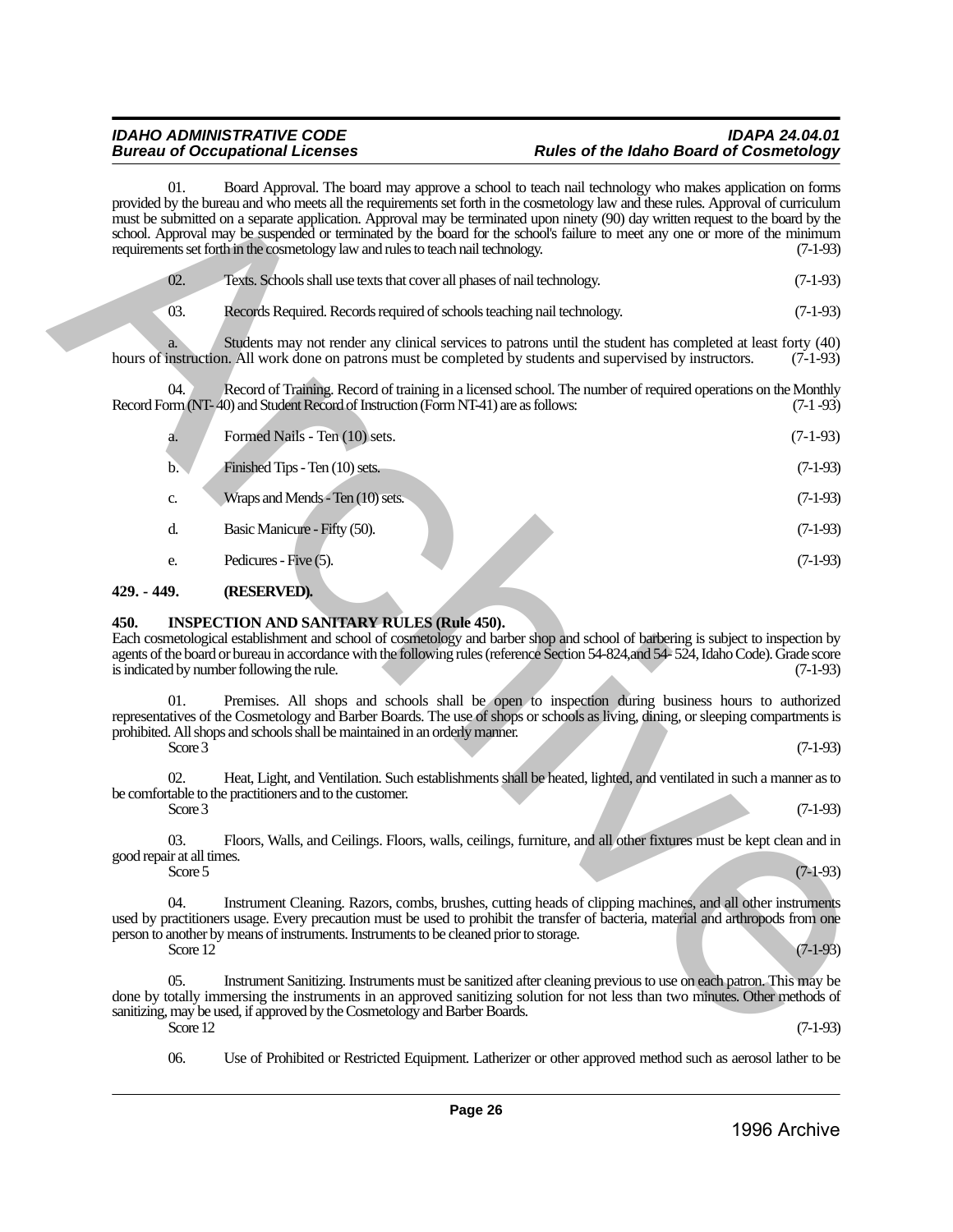| $\sim 02$ . | Texts. Schools shall use texts that cover all phases of nail technology. | $(7-1-93)$ |
|-------------|--------------------------------------------------------------------------|------------|
|-------------|--------------------------------------------------------------------------|------------|

| 01.                              |          | Board Approval. The board may approve a school to teach nail technology who makes application on forms<br>provided by the bureau and who meets all the requirements set forth in the cosmetology law and these rules. Approval of curriculum<br>must be submitted on a separate application. Approval may be terminated upon ninety (90) day written request to the board by the<br>school. Approval may be suspended or terminated by the board for the school's failure to meet any one or more of the minimum<br>requirements set forth in the cosmetology law and rules to teach nail technology. | $(7-1-93)$ |
|----------------------------------|----------|-------------------------------------------------------------------------------------------------------------------------------------------------------------------------------------------------------------------------------------------------------------------------------------------------------------------------------------------------------------------------------------------------------------------------------------------------------------------------------------------------------------------------------------------------------------------------------------------------------|------------|
| 02.                              |          | Texts. Schools shall use texts that cover all phases of nail technology.                                                                                                                                                                                                                                                                                                                                                                                                                                                                                                                              | $(7-1-93)$ |
| 03.                              |          | Records Required. Records required of schools teaching nail technology.                                                                                                                                                                                                                                                                                                                                                                                                                                                                                                                               | $(7-1-93)$ |
|                                  |          | Students may not render any clinical services to patrons until the student has completed at least forty (40)<br>hours of instruction. All work done on patrons must be completed by students and supervised by instructors.                                                                                                                                                                                                                                                                                                                                                                           | $(7-1-93)$ |
| 04.                              |          | Record of Training. Record of training in a licensed school. The number of required operations on the Monthly<br>Record Form (NT-40) and Student Record of Instruction (Form NT-41) are as follows:                                                                                                                                                                                                                                                                                                                                                                                                   | $(7-1-93)$ |
| a.                               |          | Formed Nails - Ten (10) sets.                                                                                                                                                                                                                                                                                                                                                                                                                                                                                                                                                                         | $(7-1-93)$ |
| $\mathbf{b}$ .                   |          | Finished Tips - Ten (10) sets.                                                                                                                                                                                                                                                                                                                                                                                                                                                                                                                                                                        | $(7-1-93)$ |
| c.                               |          | Wraps and Mends - Ten (10) sets.                                                                                                                                                                                                                                                                                                                                                                                                                                                                                                                                                                      | $(7-1-93)$ |
| d.                               |          | Basic Manicure - Fifty (50).                                                                                                                                                                                                                                                                                                                                                                                                                                                                                                                                                                          | $(7-1-93)$ |
| e.                               |          | Pedicures - Five (5).                                                                                                                                                                                                                                                                                                                                                                                                                                                                                                                                                                                 | $(7-1-93)$ |
| 429. - 449.                      |          | (RESERVED).                                                                                                                                                                                                                                                                                                                                                                                                                                                                                                                                                                                           |            |
| 450.<br>01.                      |          | <b>INSPECTION AND SANITARY RULES (Rule 450).</b><br>Each cosmetological establishment and school of cosmetology and barber shop and school of barbering is subject to inspection by<br>agents of the board or bureau in accordance with the following rules (reference Section 54-824, and 54-524, Idaho Code). Grade score<br>is indicated by number following the rule.<br>Premises. All shops and schools shall be open to inspection during business hours to authorized                                                                                                                          | $(7-1-93)$ |
|                                  | Score 3  | representatives of the Cosmetology and Barber Boards. The use of shops or schools as living, dining, or sleeping compartments is<br>prohibited. All shops and schools shall be maintained in an orderly manner.                                                                                                                                                                                                                                                                                                                                                                                       | $(7-1-93)$ |
| 02.                              |          | Heat, Light, and Ventilation. Such establishments shall be heated, lighted, and ventilated in such a manner as to<br>be comfortable to the practitioners and to the customer.                                                                                                                                                                                                                                                                                                                                                                                                                         |            |
|                                  | Score 3  |                                                                                                                                                                                                                                                                                                                                                                                                                                                                                                                                                                                                       | $(7-1-93)$ |
| 03.<br>good repair at all times. | Score 5  | Floors, Walls, and Ceilings. Floors, walls, ceilings, furniture, and all other fixtures must be kept clean and in                                                                                                                                                                                                                                                                                                                                                                                                                                                                                     | $(7-1-93)$ |
| 04.                              | Score 12 | Instrument Cleaning. Razors, combs, brushes, cutting heads of clipping machines, and all other instruments<br>used by practitioners usage. Every precaution must be used to prohibit the transfer of bacteria, material and arthropods from one<br>person to another by means of instruments. Instruments to be cleaned prior to storage.                                                                                                                                                                                                                                                             | $(7-1-93)$ |
| 05.                              |          | Instrument Sanitizing. Instruments must be sanitized after cleaning previous to use on each patron. This may be<br>done by totally immersing the instruments in an approved sanitizing solution for not less than two minutes. Other methods of<br>sanitizing, may be used, if approved by the Cosmetology and Barber Boards.                                                                                                                                                                                                                                                                         |            |
|                                  | Score 12 |                                                                                                                                                                                                                                                                                                                                                                                                                                                                                                                                                                                                       | $(7-1-93)$ |

#### <span id="page-25-0"></span>**429. - 449. (RESERVED).**

#### <span id="page-25-1"></span>**450. INSPECTION AND SANITARY RULES (Rule 450).**

06. Use of Prohibited or Restricted Equipment. Latherizer or other approved method such as aerosol lather to be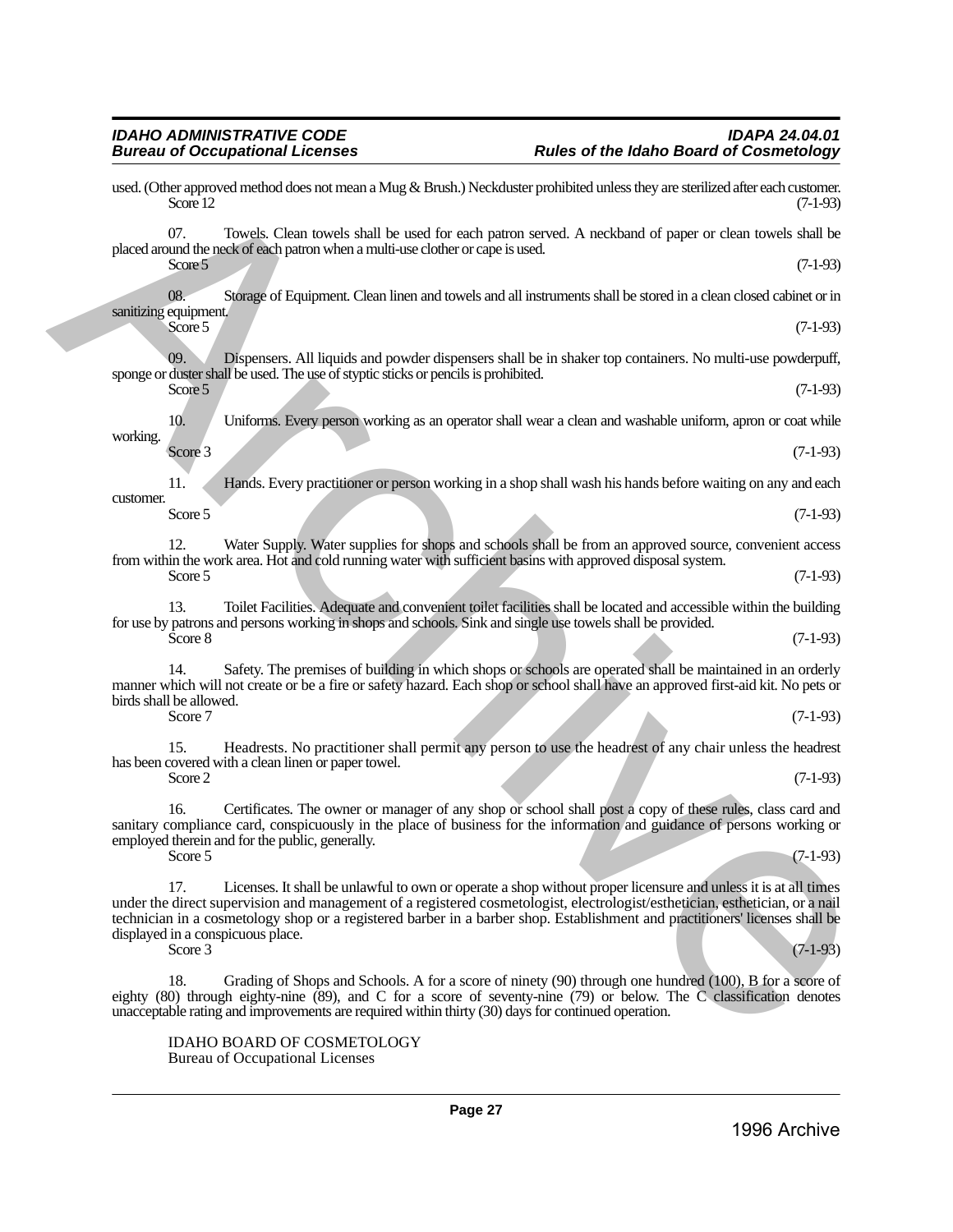placed around the neck of each patron when a multi-use clother or cape is used.  $Score 5$  (7-1-93)

08. Storage of Equipment. Clean linen and towels and all instruments shall be stored in a clean closed cabinet or in sanitizing equipment. Score 5  $(7-1-93)$ 

used. (Other approved method does not mean a Mug & Brush.) Neckduster prohibited unless they are sterilized after each customer.<br>(7-1-93) Score  $12$  (7-1-93) 07. Towels. Clean towels shall be used for each patron served. A neckband of paper or clean towels shall be

09. Dispensers. All liquids and powder dispensers shall be in shaker top containers. No multi-use powderpuff, sponge or duster shall be used. The use of styptic sticks or pencils is prohibited.  $\text{Score } 5$  (7-1-93)

10. Uniforms. Every person working as an operator shall wear a clean and washable uniform, apron or coat while working.

 $\text{Score } 3$  (7-1-93)

11. Hands. Every practitioner or person working in a shop shall wash his hands before waiting on any and each customer.  $Score 5$  (7-1-93)

12. Water Supply. Water supplies for shops and schools shall be from an approved source, convenient access from within the work area. Hot and cold running water with sufficient basins with approved disposal system.  $\text{Score } 5$  (7-1-93)

13. Toilet Facilities. Adequate and convenient toilet facilities shall be located and accessible within the building for use by patrons and persons working in shops and schools. Sink and single use towels shall be provided.  $\text{Score } 8$  (7-1-93)

14. Safety. The premises of building in which shops or schools are operated shall be maintained in an orderly manner which will not create or be a fire or safety hazard. Each shop or school shall have an approved first-aid kit. No pets or birds shall be allowed.<br>Score 7 Score 7  $(7-1-93)$ 

15. Headrests. No practitioner shall permit any person to use the headrest of any chair unless the headrest has been covered with a clean linen or paper towel.  $\text{Score } 2$  (7-1-93)

16. Certificates. The owner or manager of any shop or school shall post a copy of these rules, class card and sanitary compliance card, conspicuously in the place of business for the information and guidance of persons working or employed therein and for the public, generally. Score 5  $(7-1-93)$ 

17. Licenses. It shall be unlawful to own or operate a shop without proper licensure and unless it is at all times under the direct supervision and management of a registered cosmetologist, electrologist/esthetician, esthetician, or a nail technician in a cosmetology shop or a registered barber in a barber shop. Establishment and practitioners' licenses shall be displayed in a conspicuous place.<br>Score 3 Score 3  $(7-1-93)$ Archive

Grading of Shops and Schools. A for a score of ninety (90) through one hundred (100), B for a score of eighty (80) through eighty-nine (89), and C for a score of seventy-nine (79) or below. The C classification denotes unacceptable rating and improvements are required within thirty (30) days for continued operation.

IDAHO BOARD OF COSMETOLOGY Bureau of Occupational Licenses